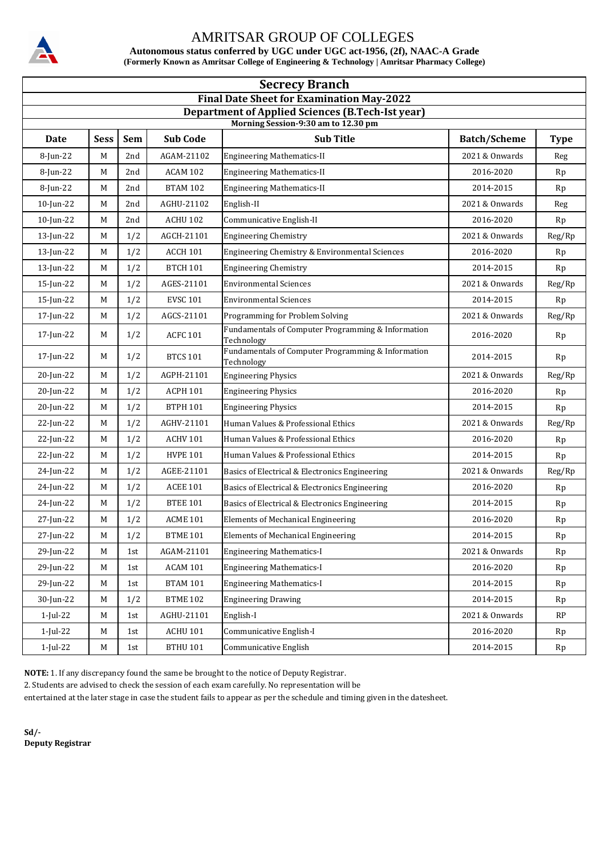**Autonomous status conferred by UGC under UGC act-1956, (2f), NAAC-A Grade (Formerly Known as Amritsar College of Engineering & Technology | Amritsar Pharmacy College)**

| <b>Secrecy Branch</b>                                                                          |             |            |                 |                                                                  |                     |             |  |  |  |
|------------------------------------------------------------------------------------------------|-------------|------------|-----------------|------------------------------------------------------------------|---------------------|-------------|--|--|--|
| <b>Final Date Sheet for Examination May-2022</b>                                               |             |            |                 |                                                                  |                     |             |  |  |  |
| <b>Department of Applied Sciences (B.Tech-Ist year)</b><br>Morning Session-9:30 am to 12.30 pm |             |            |                 |                                                                  |                     |             |  |  |  |
| <b>Date</b>                                                                                    | <b>Sess</b> | <b>Sem</b> | <b>Sub Code</b> | <b>Sub Title</b>                                                 | <b>Batch/Scheme</b> | <b>Type</b> |  |  |  |
| 8-Jun-22                                                                                       | M           | 2nd        | AGAM-21102      | <b>Engineering Mathematics-II</b>                                | 2021 & Onwards      | Reg         |  |  |  |
| 8-Jun-22                                                                                       | M           | 2nd        | ACAM 102        | <b>Engineering Mathematics-II</b>                                | 2016-2020           | Rp          |  |  |  |
| 8-Jun-22                                                                                       | M           | 2nd        | <b>BTAM 102</b> | <b>Engineering Mathematics-II</b>                                | 2014-2015           | Rp          |  |  |  |
| $10$ -Jun-22                                                                                   | М           | 2nd        | AGHU-21102      | English-II                                                       | 2021 & Onwards      | Reg         |  |  |  |
| 10-Jun-22                                                                                      | M           | 2nd        | ACHU 102        | Communicative English-II                                         | 2016-2020           | Rp          |  |  |  |
| $13$ -Jun-22                                                                                   | M           | 1/2        | AGCH-21101      | <b>Engineering Chemistry</b>                                     | 2021 & Onwards      | Reg/Rp      |  |  |  |
| 13-Jun-22                                                                                      | M           | 1/2        | <b>ACCH 101</b> | Engineering Chemistry & Environmental Sciences                   | 2016-2020           | Rp          |  |  |  |
| $13$ -Jun-22                                                                                   | M           | 1/2        | <b>BTCH 101</b> | <b>Engineering Chemistry</b>                                     | 2014-2015           | Rp          |  |  |  |
| $15$ -Jun-22                                                                                   | M           | 1/2        | AGES-21101      | <b>Environmental Sciences</b>                                    | 2021 & Onwards      | Reg/Rp      |  |  |  |
| 15-Jun-22                                                                                      | M           | 1/2        | <b>EVSC 101</b> | <b>Environmental Sciences</b>                                    | 2014-2015           | Rp          |  |  |  |
| 17-Jun-22                                                                                      | M           | 1/2        | AGCS-21101      | Programming for Problem Solving                                  | 2021 & Onwards      | Reg/Rp      |  |  |  |
| 17-Jun-22                                                                                      | M           | 1/2        | <b>ACFC 101</b> | Fundamentals of Computer Programming & Information<br>Technology | 2016-2020           | Rp          |  |  |  |
| 17-Jun-22                                                                                      | M           | 1/2        | <b>BTCS 101</b> | Fundamentals of Computer Programming & Information<br>Technology | 2014-2015           | Rp          |  |  |  |
| 20-Jun-22                                                                                      | M           | 1/2        | AGPH-21101      | <b>Engineering Physics</b>                                       | 2021 & Onwards      | Reg/Rp      |  |  |  |
| 20-Jun-22                                                                                      | M           | 1/2        | <b>ACPH 101</b> | <b>Engineering Physics</b>                                       | 2016-2020           | Rp          |  |  |  |
| 20-Jun-22                                                                                      | M           | 1/2        | <b>BTPH 101</b> | <b>Engineering Physics</b>                                       | 2014-2015           | Rp          |  |  |  |
| 22-Jun-22                                                                                      | M           | 1/2        | AGHV-21101      | Human Values & Professional Ethics                               | 2021 & Onwards      | Reg/Rp      |  |  |  |
| 22-Jun-22                                                                                      | M           | 1/2        | <b>ACHV 101</b> | Human Values & Professional Ethics                               | 2016-2020           | Rp          |  |  |  |
| 22-Jun-22                                                                                      | M           | 1/2        | <b>HVPE 101</b> | Human Values & Professional Ethics                               | 2014-2015           | Rp          |  |  |  |
| 24-Jun-22                                                                                      | M           | 1/2        | AGEE-21101      | Basics of Electrical & Electronics Engineering                   | 2021 & Onwards      | Reg/Rp      |  |  |  |
| 24-Jun-22                                                                                      | M           | 1/2        | <b>ACEE 101</b> | Basics of Electrical & Electronics Engineering                   | 2016-2020           | Rp          |  |  |  |
| 24-Jun-22                                                                                      | M           | 1/2        | <b>BTEE 101</b> | Basics of Electrical & Electronics Engineering                   | 2014-2015           | Rp          |  |  |  |
| 27-Jun-22                                                                                      | M           | 1/2        | <b>ACME 101</b> | <b>Elements of Mechanical Engineering</b>                        | 2016-2020           | Rp          |  |  |  |
| 27-Jun-22                                                                                      | М           | 1/2        | <b>BTME 101</b> | Elements of Mechanical Engineering                               | 2014-2015           | Rp          |  |  |  |
| 29-Jun-22                                                                                      | M           | 1st        | AGAM-21101      | <b>Engineering Mathematics-I</b>                                 | 2021 & Onwards      | Rp          |  |  |  |
| 29-Jun-22                                                                                      | M           | 1st        | ACAM 101        | <b>Engineering Mathematics-I</b>                                 | 2016-2020           | Rp          |  |  |  |
| 29-Jun-22                                                                                      | М           | 1st        | <b>BTAM 101</b> | <b>Engineering Mathematics-I</b>                                 | 2014-2015           | Rp          |  |  |  |
| 30-Jun-22                                                                                      | M           | 1/2        | <b>BTME 102</b> | <b>Engineering Drawing</b>                                       | 2014-2015           | Rp          |  |  |  |
| $1$ -Jul-22                                                                                    | M           | 1st        | AGHU-21101      | English-I                                                        | 2021 & Onwards      | RP          |  |  |  |
| 1-Jul-22                                                                                       | М           | 1st        | ACHU 101        | Communicative English-I                                          | 2016-2020           | Rp          |  |  |  |
| 1-Jul-22                                                                                       | M           | 1st        | <b>BTHU 101</b> | Communicative English                                            | 2014-2015           | Rp          |  |  |  |

**NOTE:** 1. If any discrepancy found the same be brought to the notice of Deputy Registrar.

2. Students are advised to check the session of each exam carefully. No representation will be

entertained at the later stage in case the student fails to appear as per the schedule and timing given in the datesheet.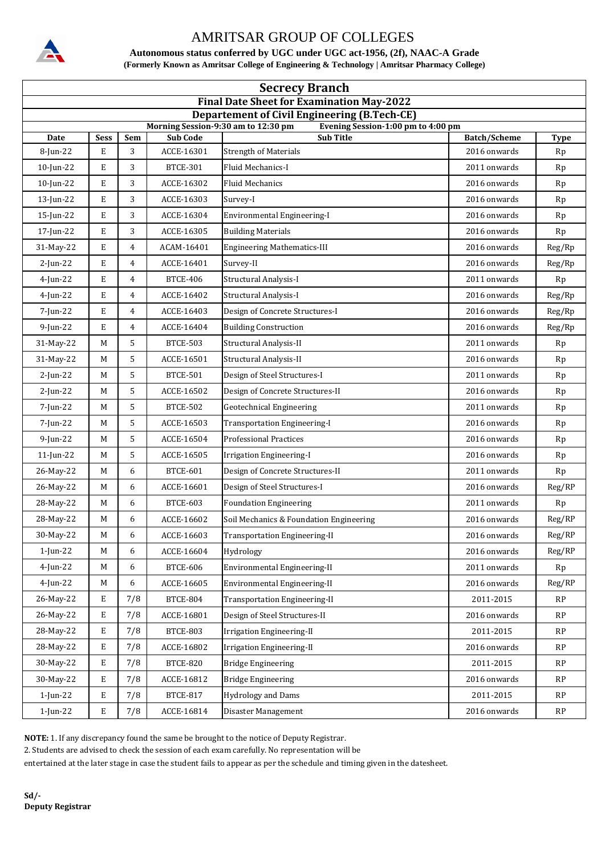

**Autonomous status conferred by UGC under UGC act-1956, (2f), NAAC-A Grade (Formerly Known as Amritsar College of Engineering & Technology | Amritsar Pharmacy College)**

| <b>Secrecy Branch</b>                            |                                                                                            |                |                 |                                                        |                     |             |  |  |  |  |
|--------------------------------------------------|--------------------------------------------------------------------------------------------|----------------|-----------------|--------------------------------------------------------|---------------------|-------------|--|--|--|--|
| <b>Final Date Sheet for Examination May-2022</b> |                                                                                            |                |                 |                                                        |                     |             |  |  |  |  |
|                                                  | <b>Departement of Civil Engineering (B.Tech-CE)</b><br>Morning Session-9:30 am to 12:30 pm |                |                 |                                                        |                     |             |  |  |  |  |
| Date                                             | Sess                                                                                       | Sem            | <b>Sub Code</b> | Evening Session-1:00 pm to 4:00 pm<br><b>Sub Title</b> | <b>Batch/Scheme</b> | <b>Type</b> |  |  |  |  |
| 8-Jun-22                                         | E                                                                                          | 3              | ACCE-16301      | <b>Strength of Materials</b>                           | 2016 onwards        | Rp          |  |  |  |  |
| $10$ -Jun-22                                     | E                                                                                          | 3              | <b>BTCE-301</b> | Fluid Mechanics-I                                      | 2011 onwards        | Rp          |  |  |  |  |
| $10$ -Jun-22                                     | E                                                                                          | 3              | ACCE-16302      | <b>Fluid Mechanics</b>                                 | 2016 onwards        | Rp          |  |  |  |  |
| 13-Jun-22                                        | E                                                                                          | 3              | ACCE-16303      | Survey-I                                               | 2016 onwards        | Rp          |  |  |  |  |
| 15-Jun-22                                        | E                                                                                          | 3              | ACCE-16304      | Environmental Engineering-I                            | 2016 onwards        | Rp          |  |  |  |  |
| 17-Jun-22                                        | E                                                                                          | 3              | ACCE-16305      | <b>Building Materials</b>                              | 2016 onwards        | Rp          |  |  |  |  |
| 31-May-22                                        | E                                                                                          | 4              | ACAM-16401      | <b>Engineering Mathematics-III</b>                     | 2016 onwards        | Reg/Rp      |  |  |  |  |
| $2$ -Jun-22                                      | E                                                                                          | $\overline{4}$ | ACCE-16401      | Survey-II                                              | 2016 onwards        | Reg/Rp      |  |  |  |  |
| $4$ -Jun-22                                      | E                                                                                          | 4              | <b>BTCE-406</b> | Structural Analysis-I                                  | 2011 onwards        | Rp          |  |  |  |  |
| $4$ -Jun-22                                      | E                                                                                          | $\overline{4}$ | ACCE-16402      | Structural Analysis-I                                  | 2016 onwards        | Reg/Rp      |  |  |  |  |
| 7-Jun-22                                         | E                                                                                          | 4              | ACCE-16403      | Design of Concrete Structures-I                        | 2016 onwards        | Reg/Rp      |  |  |  |  |
| $9$ -Jun-22                                      | E                                                                                          | $\overline{4}$ | ACCE-16404      | <b>Building Construction</b>                           | 2016 onwards        | Reg/Rp      |  |  |  |  |
| 31-May-22                                        | M                                                                                          | 5              | <b>BTCE-503</b> | Structural Analysis-II                                 | 2011 onwards        | Rp          |  |  |  |  |
| 31-May-22                                        | M                                                                                          | 5              | ACCE-16501      | Structural Analysis-II                                 | 2016 onwards        | Rp          |  |  |  |  |
| $2$ -Jun-22                                      | M                                                                                          | 5              | <b>BTCE-501</b> | Design of Steel Structures-I                           | 2011 onwards        | Rp          |  |  |  |  |
| $2$ -Jun-22                                      | M                                                                                          | 5              | ACCE-16502      | Design of Concrete Structures-II                       | 2016 onwards        | Rp          |  |  |  |  |
| 7-Jun-22                                         | M                                                                                          | 5              | <b>BTCE-502</b> | <b>Geotechnical Engineering</b>                        | 2011 onwards        | Rp          |  |  |  |  |
| 7-Jun-22                                         | M                                                                                          | 5              | ACCE-16503      | Transportation Engineering-I                           | 2016 onwards        | Rp          |  |  |  |  |
| $9$ -Jun-22                                      | M                                                                                          | 5              | ACCE-16504      | <b>Professional Practices</b>                          | 2016 onwards        | Rp          |  |  |  |  |
| $11$ -Jun-22                                     | M                                                                                          | 5              | ACCE-16505      | Irrigation Engineering-I                               | 2016 onwards        | Rp          |  |  |  |  |
| 26-May-22                                        | M                                                                                          | 6              | <b>BTCE-601</b> | Design of Concrete Structures-II                       | 2011 onwards        | Rp          |  |  |  |  |
| 26-May-22                                        | M                                                                                          | 6              | ACCE-16601      | Design of Steel Structures-I                           | 2016 onwards        | Reg/RP      |  |  |  |  |
| 28-May-22                                        | M                                                                                          | 6              | <b>BTCE-603</b> | <b>Foundation Engineering</b>                          | 2011 onwards        | Rp          |  |  |  |  |
| 28-May-22                                        | M                                                                                          | 6              | ACCE-16602      | Soil Mechanics & Foundation Engineering                | 2016 onwards        | Reg/RP      |  |  |  |  |
| 30-May-22                                        | $\mathbf M$                                                                                | 6              | ACCE-16603      | <b>Transportation Engineering-II</b>                   | 2016 onwards        | Reg/RP      |  |  |  |  |
| $1$ -Jun-22                                      | M                                                                                          | 6              | ACCE-16604      | Hydrology                                              | 2016 onwards        | Reg/RP      |  |  |  |  |
| $4$ -Jun-22                                      | M                                                                                          | 6              | <b>BTCE-606</b> | Environmental Engineering-II                           | 2011 onwards        | Rp          |  |  |  |  |
| 4-Jun-22                                         | M                                                                                          | 6              | ACCE-16605      | Environmental Engineering-II                           | 2016 onwards        | Reg/RP      |  |  |  |  |
| 26-May-22                                        | Е                                                                                          | 7/8            | BTCE-804        | <b>Transportation Engineering-II</b>                   | 2011-2015           | RP          |  |  |  |  |
| 26-May-22                                        | E                                                                                          | 7/8            | ACCE-16801      | Design of Steel Structures-II                          | 2016 onwards        | RP          |  |  |  |  |
| 28-May-22                                        | E                                                                                          | 7/8            | <b>BTCE-803</b> | <b>Irrigation Engineering-II</b>                       | 2011-2015           | RP          |  |  |  |  |
| 28-May-22                                        | E                                                                                          | 7/8            | ACCE-16802      | <b>Irrigation Engineering-II</b>                       | 2016 onwards        | RP          |  |  |  |  |
| 30-May-22                                        | E                                                                                          | 7/8            | <b>BTCE-820</b> | <b>Bridge Engineering</b>                              | 2011-2015           | RP          |  |  |  |  |
| 30-May-22                                        | E                                                                                          | 7/8            | ACCE-16812      | <b>Bridge Engineering</b>                              | 2016 onwards        | RP          |  |  |  |  |
| $1$ -Jun-22                                      | Е                                                                                          | 7/8            | <b>BTCE-817</b> | <b>Hydrology and Dams</b>                              | 2011-2015           | RP          |  |  |  |  |
| $1$ -Jun-22                                      | $\mathbf E$                                                                                | 7/8            | ACCE-16814      | Disaster Management                                    | 2016 onwards        | RP          |  |  |  |  |

**NOTE:** 1. If any discrepancy found the same be brought to the notice of Deputy Registrar.

2. Students are advised to check the session of each exam carefully. No representation will be

entertained at the later stage in case the student fails to appear as per the schedule and timing given in the datesheet.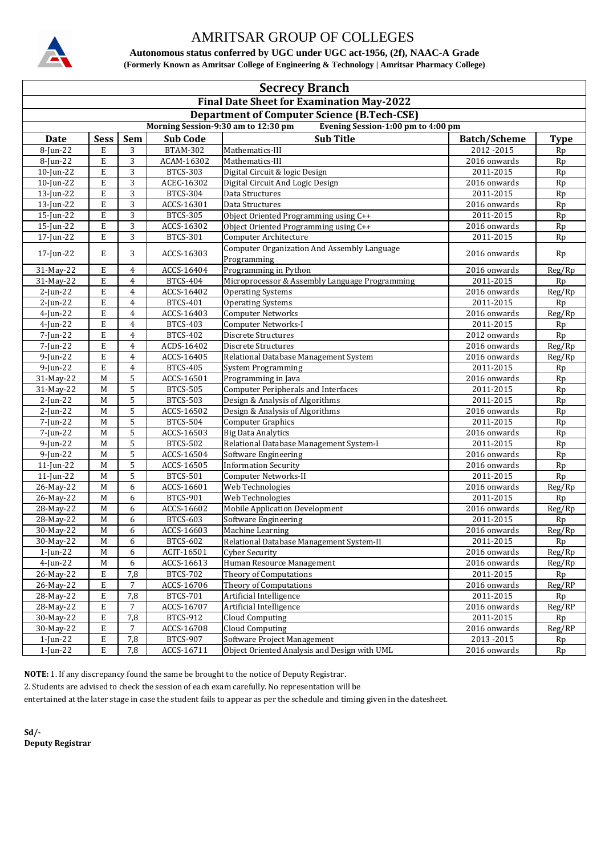

**Autonomous status conferred by UGC under UGC act-1956, (2f), NAAC-A Grade (Formerly Known as Amritsar College of Engineering & Technology | Amritsar Pharmacy College)**

| <b>Secrecy Branch</b>                                                     |                                                    |                |                          |                                                                   |                     |              |  |  |  |  |
|---------------------------------------------------------------------------|----------------------------------------------------|----------------|--------------------------|-------------------------------------------------------------------|---------------------|--------------|--|--|--|--|
| <b>Final Date Sheet for Examination May-2022</b>                          |                                                    |                |                          |                                                                   |                     |              |  |  |  |  |
|                                                                           | <b>Department of Computer Science (B.Tech-CSE)</b> |                |                          |                                                                   |                     |              |  |  |  |  |
| Morning Session-9:30 am to 12:30 pm<br>Evening Session-1:00 pm to 4:00 pm |                                                    |                |                          |                                                                   |                     |              |  |  |  |  |
|                                                                           |                                                    |                |                          |                                                                   |                     |              |  |  |  |  |
| Date                                                                      | <b>Sess</b>                                        | <b>Sem</b>     | <b>Sub Code</b>          | <b>Sub Title</b>                                                  | <b>Batch/Scheme</b> | <b>Type</b>  |  |  |  |  |
| 8-Jun-22                                                                  | E                                                  | 3              | <b>BTAM-302</b>          | Mathematics-III                                                   | 2012-2015           | Rp           |  |  |  |  |
| 8-Jun-22                                                                  | E                                                  | 3              | ACAM-16302               | Mathematics-III                                                   | 2016 onwards        | Rp           |  |  |  |  |
| 10-Jun-22                                                                 | E                                                  | $\overline{3}$ | <b>BTCS-303</b>          | Digital Circuit & logic Design                                    | 2011-2015           | Rp           |  |  |  |  |
| 10-Jun-22                                                                 | E                                                  | 3              | ACEC-16302               | Digital Circuit And Logic Design                                  | 2016 onwards        | Rp           |  |  |  |  |
| 13-Jun-22                                                                 | E                                                  | 3              | <b>BTCS-304</b>          | Data Structures                                                   | 2011-2015           | Rp           |  |  |  |  |
| 13-Jun-22                                                                 | E                                                  | 3              | ACCS-16301               | Data Structures                                                   | 2016 onwards        | Rp           |  |  |  |  |
| 15-Jun-22                                                                 | E                                                  | $\overline{3}$ | <b>BTCS-305</b>          | Object Oriented Programming using C++                             | 2011-2015           | Rp           |  |  |  |  |
| 15-Jun-22                                                                 | Е                                                  | 3              | ACCS-16302               | Object Oriented Programming using C++                             | 2016 onwards        | Rp           |  |  |  |  |
| 17-Jun-22                                                                 | Е                                                  | 3              | <b>BTCS-301</b>          | Computer Architecture                                             | 2011-2015           | Rp           |  |  |  |  |
| 17-Jun-22                                                                 | Е                                                  | 3              | ACCS-16303               | <b>Computer Organization And Assembly Language</b><br>Programming | 2016 onwards        | Rp           |  |  |  |  |
| 31-May-22                                                                 | E                                                  | 4              | ACCS-16404               | Programming in Python                                             | 2016 onwards        | Reg/Rp       |  |  |  |  |
| 31-May-22                                                                 | E                                                  | $\overline{4}$ | <b>BTCS-404</b>          | Microprocessor & Assembly Language Programming                    | 2011-2015           | Rp           |  |  |  |  |
| $2$ -Jun-22                                                               | E                                                  | 4              | ACCS-16402               | <b>Operating Systems</b>                                          | 2016 onwards        | Reg/Rp       |  |  |  |  |
| $2$ -Jun-22                                                               | Е                                                  | 4              | <b>BTCS-401</b>          | <b>Operating Systems</b>                                          | 2011-2015           | Rp           |  |  |  |  |
| $4$ -Jun-22                                                               | E                                                  | $\overline{4}$ | ACCS-16403               | <b>Computer Networks</b>                                          | $2016$ onwards      | Reg/Rp       |  |  |  |  |
| $4$ -Jun-22                                                               | E                                                  | 4              | <b>BTCS-403</b>          | Computer Networks-I                                               | 2011-2015           | Rp           |  |  |  |  |
| 7-Jun-22                                                                  | E                                                  | $\overline{4}$ | <b>BTCS-402</b>          | Discrete Structures                                               | 2012 onwards        | Rp           |  |  |  |  |
| 7-Jun-22                                                                  | E                                                  | 4              | ACDS-16402               | Discrete Structures                                               | 2016 onwards        | Reg/Rp       |  |  |  |  |
| $9$ -Jun-22                                                               | E                                                  | 4              | ACCS-16405               | Relational Database Management System                             | 2016 onwards        | Reg/Rp       |  |  |  |  |
| $9$ -Jun-22                                                               | E                                                  | $\overline{4}$ | <b>BTCS-405</b>          | <b>System Programming</b>                                         | 2011-2015           | Rp           |  |  |  |  |
| 31-May-22                                                                 | $\mathbf M$                                        | 5              | ACCS-16501               | Programming in Java                                               | 2016 onwards        | Rp           |  |  |  |  |
| 31-May-22                                                                 | M                                                  | 5              | <b>BTCS-505</b>          | <b>Computer Peripherals and Interfaces</b>                        | 2011-2015           | Rp           |  |  |  |  |
| $2$ -Jun-22                                                               | M                                                  | 5              | <b>BTCS-503</b>          | Design & Analysis of Algorithms                                   | 2011-2015           | Rp           |  |  |  |  |
| $2$ -Jun-22                                                               | $\mathbf M$                                        | 5              | ACCS-16502               | Design & Analysis of Algorithms                                   | 2016 onwards        | Rp           |  |  |  |  |
| 7-Jun-22                                                                  | M                                                  | 5              | <b>BTCS-504</b>          | <b>Computer Graphics</b>                                          | 2011-2015           | Rp           |  |  |  |  |
| 7-Jun-22                                                                  | M                                                  | 5              | ACCS-16503               | <b>Big Data Analytics</b>                                         | 2016 onwards        | Rp           |  |  |  |  |
| $9$ -Jun-22                                                               | M                                                  | 5              | <b>BTCS-502</b>          | Relational Database Management System-I                           | 2011-2015           | Rp           |  |  |  |  |
| $9$ -Jun-22                                                               | M                                                  | 5              | ACCS-16504               | Software Engineering                                              | 2016 onwards        | Rp           |  |  |  |  |
| 11-Jun-22                                                                 | M                                                  | 5              | ACCS-16505               | <b>Information Security</b>                                       | 2016 onwards        | Rp           |  |  |  |  |
| $11$ -Jun-22                                                              | M                                                  | 5              | <b>BTCS-501</b>          | Computer Networks-II                                              | 2011-2015           | Rp           |  |  |  |  |
| 26-May-22                                                                 | M                                                  | 6              | ACCS-16601               | Web Technologies                                                  | 2016 onwards        | Reg/Rp       |  |  |  |  |
| 26-May-22                                                                 | $\mathbf M$                                        | 6              | <b>BTCS-901</b>          | Web Technologies                                                  | 2011-2015           | Rp           |  |  |  |  |
| 28-May-22                                                                 | $\mathbf M$                                        | 6              | ACCS-16602               | <b>Mobile Application Development</b>                             | 2016 onwards        | Reg/Rp       |  |  |  |  |
| 28-May-22                                                                 | M                                                  | 6              | <b>BTCS-603</b>          | Software Engineering                                              | 2011-2015           | Rp           |  |  |  |  |
| 30-May-22                                                                 | $\overline{\mathsf{M}}$                            | 6              | ACCS-16603               | Machine Learning                                                  | 2016 onwards        | Reg/Rp       |  |  |  |  |
| 30-May-22                                                                 | M                                                  | 6              | <b>BTCS-602</b>          | Relational Database Management System-II                          | 2011-2015           | Rp           |  |  |  |  |
| $1$ -Jun-22                                                               | M                                                  |                |                          | <b>Cyber Security</b>                                             | 2016 onwards        | Reg/Rp       |  |  |  |  |
| 4-Jun-22                                                                  | $\mathbf M$                                        | 6              | ACIT-16501<br>ACCS-16613 | Human Resource Management                                         | 2016 onwards        |              |  |  |  |  |
|                                                                           | E                                                  | 6<br>7,8       |                          |                                                                   | 2011-2015           | Reg/Rp<br>Rp |  |  |  |  |
| 26-May-22                                                                 |                                                    | 7              | <b>BTCS-702</b>          | Theory of Computations                                            |                     | Reg/RP       |  |  |  |  |
| 26-May-22                                                                 | E                                                  |                | ACCS-16706               | Theory of Computations                                            | 2016 onwards        |              |  |  |  |  |
| 28-May-22                                                                 | Е                                                  | 7,8            | <b>BTCS-701</b>          | Artificial Intelligence                                           | 2011-2015           | Rp           |  |  |  |  |
| 28-May-22                                                                 | E                                                  | 7              | ACCS-16707               | Artificial Intelligence                                           | 2016 onwards        | Reg/RP       |  |  |  |  |
| 30-May-22                                                                 | E                                                  | 7,8            | <b>BTCS-912</b>          | Cloud Computing                                                   | 2011-2015           | Rp           |  |  |  |  |
| 30-May-22                                                                 | E                                                  | 7              | ACCS-16708               | <b>Cloud Computing</b>                                            | 2016 onwards        | Reg/RP       |  |  |  |  |
| 1-Jun-22                                                                  | E                                                  | 7,8            | <b>BTCS-907</b>          | Software Project Management                                       | 2013-2015           | Rp           |  |  |  |  |
| 1-Jun-22                                                                  | Е                                                  | 7,8            | ACCS-16711               | Object Oriented Analysis and Design with UML                      | 2016 onwards        | Rp           |  |  |  |  |

**NOTE:** 1. If any discrepancy found the same be brought to the notice of Deputy Registrar.

2. Students are advised to check the session of each exam carefully. No representation will be

entertained at the later stage in case the student fails to appear as per the schedule and timing given in the datesheet.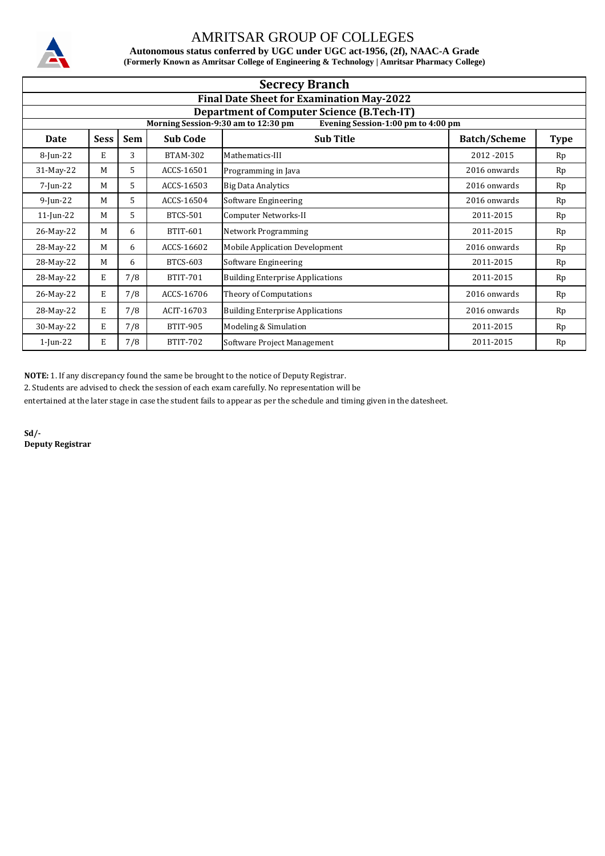

**Autonomous status conferred by UGC under UGC act-1956, (2f), NAAC-A Grade (Formerly Known as Amritsar College of Engineering & Technology | Amritsar Pharmacy College)**

| <b>Secrecy Branch</b> |                                                  |            |                 |                                                                           |                     |             |  |  |  |  |
|-----------------------|--------------------------------------------------|------------|-----------------|---------------------------------------------------------------------------|---------------------|-------------|--|--|--|--|
|                       | <b>Final Date Sheet for Examination May-2022</b> |            |                 |                                                                           |                     |             |  |  |  |  |
|                       |                                                  |            |                 | <b>Department of Computer Science (B.Tech-IT)</b>                         |                     |             |  |  |  |  |
|                       |                                                  |            |                 | Morning Session-9:30 am to 12:30 pm<br>Evening Session-1:00 pm to 4:00 pm |                     |             |  |  |  |  |
| Date                  | <b>Sess</b>                                      | <b>Sem</b> | <b>Sub Code</b> | <b>Sub Title</b>                                                          | <b>Batch/Scheme</b> | <b>Type</b> |  |  |  |  |
| 8-Jun-22              | E                                                | 3          | <b>BTAM-302</b> | Mathematics-III                                                           | 2012-2015           | Rp          |  |  |  |  |
| 31-May-22             | M                                                | 5          | ACCS-16501      | Programming in Java                                                       | 2016 onwards        | Rp          |  |  |  |  |
| 7-Jun-22              | M                                                | 5          | ACCS-16503      | <b>Big Data Analytics</b>                                                 | 2016 onwards        | Rp          |  |  |  |  |
| $9$ -Jun-22           | M                                                | 5.         | ACCS-16504      | Software Engineering                                                      | 2016 onwards        | Rp          |  |  |  |  |
| $11$ -Jun-22          | M                                                | 5          | <b>BTCS-501</b> | Computer Networks-II                                                      | 2011-2015           | Rp          |  |  |  |  |
| 26-May-22             | M                                                | 6          | BTIT-601        | Network Programming                                                       | 2011-2015           | Rp          |  |  |  |  |
| 28-May-22             | M                                                | 6          | ACCS-16602      | <b>Mobile Application Development</b>                                     | 2016 onwards        | Rp          |  |  |  |  |
| 28-May-22             | M                                                | 6          | <b>BTCS-603</b> | Software Engineering                                                      | 2011-2015           | Rp          |  |  |  |  |
| 28-May-22             | E                                                | 7/8        | <b>BTIT-701</b> | <b>Building Enterprise Applications</b>                                   | 2011-2015           | Rp          |  |  |  |  |
| 26-May-22             | Е                                                | 7/8        | ACCS-16706      | Theory of Computations                                                    | 2016 onwards        | Rp          |  |  |  |  |
| 28-May-22             | E                                                | 7/8        | ACIT-16703      | <b>Building Enterprise Applications</b>                                   | 2016 onwards        | Rp          |  |  |  |  |
| 30-May-22             | E                                                | 7/8        | <b>BTIT-905</b> | Modeling & Simulation                                                     | 2011-2015           | Rp          |  |  |  |  |
| $1$ -Jun-22           | Е                                                | 7/8        | <b>BTIT-702</b> | Software Project Management                                               | 2011-2015           | Rp          |  |  |  |  |

**NOTE:** 1. If any discrepancy found the same be brought to the notice of Deputy Registrar.

2. Students are advised to check the session of each exam carefully. No representation will be

entertained at the later stage in case the student fails to appear as per the schedule and timing given in the datesheet.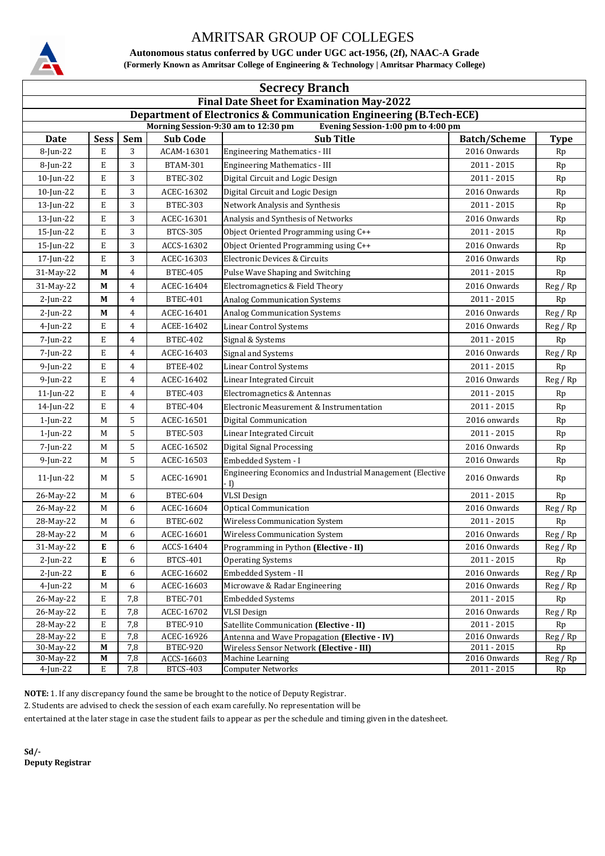

**Autonomous status conferred by UGC under UGC act-1956, (2f), NAAC-A Grade (Formerly Known as Amritsar College of Engineering & Technology | Amritsar Pharmacy College)**

| <b>Secrecy Branch</b>                                                     |                                                                    |            |                 |                                                           |                     |             |  |  |  |  |
|---------------------------------------------------------------------------|--------------------------------------------------------------------|------------|-----------------|-----------------------------------------------------------|---------------------|-------------|--|--|--|--|
| <b>Final Date Sheet for Examination May-2022</b>                          |                                                                    |            |                 |                                                           |                     |             |  |  |  |  |
|                                                                           | Department of Electronics & Communication Engineering (B.Tech-ECE) |            |                 |                                                           |                     |             |  |  |  |  |
| Morning Session-9:30 am to 12:30 pm<br>Evening Session-1:00 pm to 4:00 pm |                                                                    |            |                 |                                                           |                     |             |  |  |  |  |
| Date                                                                      | <b>Sess</b>                                                        | <b>Sem</b> | <b>Sub Code</b> | <b>Sub Title</b>                                          | <b>Batch/Scheme</b> | <b>Type</b> |  |  |  |  |
| 8-Jun-22                                                                  | Е                                                                  | 3          | ACAM-16301      | <b>Engineering Mathematics - III</b>                      | 2016 Onwards        | Rp          |  |  |  |  |
| 8-Jun-22                                                                  | Е                                                                  | 3          | <b>BTAM-301</b> | <b>Engineering Mathematics - III</b>                      | $2011 - 2015$       | Rp          |  |  |  |  |
| $10$ -Jun-22                                                              | Е                                                                  | 3          | <b>BTEC-302</b> | Digital Circuit and Logic Design                          | 2011 - 2015         | Rp          |  |  |  |  |
| 10-Jun-22                                                                 | E                                                                  | 3          | ACEC-16302      | Digital Circuit and Logic Design                          | 2016 Onwards        | Rp          |  |  |  |  |
| 13-Jun-22                                                                 | Е                                                                  | 3          | <b>BTEC-303</b> | Network Analysis and Synthesis                            | $2011 - 2015$       | Rp          |  |  |  |  |
| 13-Jun-22                                                                 | Е                                                                  | 3          | ACEC-16301      | Analysis and Synthesis of Networks                        | 2016 Onwards        | Rp          |  |  |  |  |
| 15-Jun-22                                                                 | Е                                                                  | 3          | <b>BTCS-305</b> | Object Oriented Programming using C++                     | $2011 - 2015$       | Rp          |  |  |  |  |
| 15-Jun-22                                                                 | Е                                                                  | 3          | ACCS-16302      | Object Oriented Programming using C++                     | 2016 Onwards        | Rp          |  |  |  |  |
| 17-Jun-22                                                                 | Е                                                                  | 3          | ACEC-16303      | Electronic Devices & Circuits                             | 2016 Onwards        | Rp          |  |  |  |  |
| 31-May-22                                                                 | М                                                                  | 4          | <b>BTEC-405</b> | Pulse Wave Shaping and Switching                          | $2011 - 2015$       | Rp          |  |  |  |  |
| 31-May-22                                                                 | М                                                                  | 4          | ACEC-16404      | Electromagnetics & Field Theory                           | 2016 Onwards        | Reg/Rp      |  |  |  |  |
| $2$ -Jun-22                                                               | М                                                                  | 4          | <b>BTEC-401</b> | <b>Analog Communication Systems</b>                       | $2011 - 2015$       | Rp          |  |  |  |  |
| $2$ -Jun-22                                                               | М                                                                  | 4          | ACEC-16401      | <b>Analog Communication Systems</b>                       | 2016 Onwards        | Reg/Rp      |  |  |  |  |
| $4$ -Jun-22                                                               | Е                                                                  | 4          | ACEE-16402      | Linear Control Systems                                    | 2016 Onwards        | Reg / Rp    |  |  |  |  |
| 7-Jun-22                                                                  | Е                                                                  | 4          | <b>BTEC-402</b> | Signal & Systems                                          | $2011 - 2015$       | Rp          |  |  |  |  |
| 7-Jun-22                                                                  | Е                                                                  | 4          | ACEC-16403      | Signal and Systems                                        | 2016 Onwards        | Reg / Rp    |  |  |  |  |
| $9$ -Jun-22                                                               | E                                                                  | 4          | <b>BTEE-402</b> | <b>Linear Control Systems</b>                             | $2011 - 2015$       | Rp          |  |  |  |  |
| 9-Jun-22                                                                  | Е                                                                  | 4          | ACEC-16402      | Linear Integrated Circuit                                 | 2016 Onwards        | Reg/Rp      |  |  |  |  |
| 11-Jun-22                                                                 | Е                                                                  | 4          | <b>BTEC-403</b> | Electromagnetics & Antennas                               | 2011 - 2015         | Rp          |  |  |  |  |
| 14-Jun-22                                                                 | Е                                                                  | 4          | <b>BTEC-404</b> | Electronic Measurement & Instrumentation                  | $2011 - 2015$       | Rp          |  |  |  |  |
| $1$ -Jun-22                                                               | М                                                                  | 5          | ACEC-16501      | Digital Communication                                     | 2016 onwards        | Rp          |  |  |  |  |
| 1-Jun-22                                                                  | M                                                                  | 5          | <b>BTEC-503</b> | Linear Integrated Circuit                                 | $2011 - 2015$       | Rp          |  |  |  |  |
| 7-Jun-22                                                                  | М                                                                  | 5          | ACEC-16502      | <b>Digital Signal Processing</b>                          | 2016 Onwards        | Rp          |  |  |  |  |
| 9-Jun-22                                                                  | М                                                                  | 5          | ACEC-16503      | Embedded System - I                                       | 2016 Onwards        | Rp          |  |  |  |  |
| $11$ -Jun-22                                                              | M                                                                  | 5          | ACEC-16901      | Engineering Economics and Industrial Management (Elective | 2016 Onwards        | Rp          |  |  |  |  |
| 26-May-22                                                                 | M                                                                  | 6          | <b>BTEC-604</b> | - I)<br><b>VLSI</b> Design                                | $2011 - 2015$       | Rp          |  |  |  |  |
| 26-May-22                                                                 | M                                                                  | 6          | ACEC-16604      | <b>Optical Communication</b>                              | 2016 Onwards        | Reg / Rp    |  |  |  |  |
| 28-May-22                                                                 | М                                                                  | 6          | <b>BTEC-602</b> | Wireless Communication System                             | 2011 - 2015         | Rp          |  |  |  |  |
| 28-May-22                                                                 | $\mathbf M$                                                        | 6          | ACEC-16601      | Wireless Communication System                             | 2016 Onwards        | Reg / Rp    |  |  |  |  |
| 31-May-22                                                                 | E                                                                  | 6          | ACCS-16404      | Programming in Python (Elective - II)                     | 2016 Onwards        | Reg/Rp      |  |  |  |  |
| $2$ -Jun-22                                                               | Е                                                                  | 6          | <b>BTCS-401</b> | <b>Operating Systems</b>                                  | 2011 - 2015         | Rp          |  |  |  |  |
| $2$ -Jun-22                                                               | E                                                                  | 6          | ACEC-16602      | Embedded System - II                                      | 2016 Onwards        | Reg/Rp      |  |  |  |  |
| $4$ -Jun-22                                                               | M                                                                  | 6          | ACEC-16603      | Microwave & Radar Engineering                             | 2016 Onwards        | Reg/Rp      |  |  |  |  |
| 26-May-22                                                                 | E                                                                  | 7,8        | <b>BTEC-701</b> | <b>Embedded Systems</b>                                   | $2011 - 2015$       | Rp          |  |  |  |  |
| 26-May-22                                                                 | Е                                                                  | 7,8        | ACEC-16702      | <b>VLSI</b> Design                                        | 2016 Onwards        | Reg/Rp      |  |  |  |  |
| 28-May-22                                                                 | E                                                                  | 7,8        | <b>BTEC-910</b> | Satellite Communication (Elective - II)                   | 2011 - 2015         | Rp          |  |  |  |  |
| 28-May-22                                                                 | E                                                                  | 7,8        | ACEC-16926      | Antenna and Wave Propagation (Elective - IV)              | 2016 Onwards        | Reg / Rp    |  |  |  |  |
| 30-May-22                                                                 | M                                                                  | 7,8        | <b>BTEC-920</b> | Wireless Sensor Network (Elective - III)                  | $2011 - 2015$       | Rp          |  |  |  |  |
| 30-May-22                                                                 | M                                                                  | 7,8        | ACCS-16603      | Machine Learning                                          | 2016 Onwards        | Reg / Rp    |  |  |  |  |
| 4-Jun-22                                                                  | Е                                                                  | 7,8        | <b>BTCS-403</b> | <b>Computer Networks</b>                                  | $2011 - 2015$       | Rp          |  |  |  |  |

**NOTE:** 1. If any discrepancy found the same be brought to the notice of Deputy Registrar.

2. Students are advised to check the session of each exam carefully. No representation will be

entertained at the later stage in case the student fails to appear as per the schedule and timing given in the datesheet.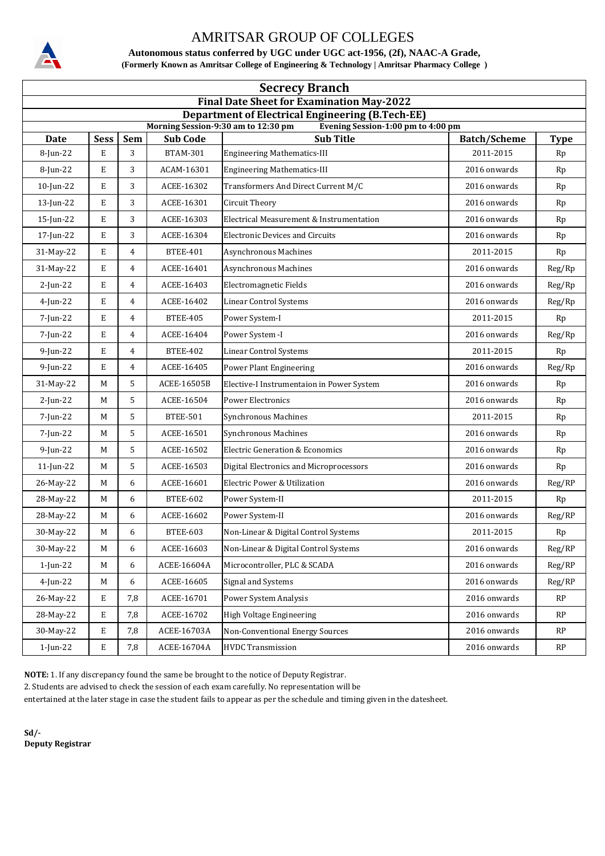

**Autonomous status conferred by UGC under UGC act-1956, (2f), NAAC-A Grade, (Formerly Known as Amritsar College of Engineering & Technology | Amritsar Pharmacy College )**

| <b>Secrecy Branch</b>                                                                                                                |             |                |                 |                                            |                     |             |  |  |  |
|--------------------------------------------------------------------------------------------------------------------------------------|-------------|----------------|-----------------|--------------------------------------------|---------------------|-------------|--|--|--|
| <b>Final Date Sheet for Examination May-2022</b>                                                                                     |             |                |                 |                                            |                     |             |  |  |  |
| <b>Department of Electrical Engineering (B.Tech-EE)</b><br>Morning Session-9:30 am to 12:30 pm<br>Evening Session-1:00 pm to 4:00 pm |             |                |                 |                                            |                     |             |  |  |  |
| <b>Date</b>                                                                                                                          | <b>Sess</b> | <b>Sem</b>     | <b>Sub Code</b> | <b>Sub Title</b>                           | <b>Batch/Scheme</b> | <b>Type</b> |  |  |  |
| 8-Jun-22                                                                                                                             | E           | 3              | <b>BTAM-301</b> | <b>Engineering Mathematics-III</b>         | 2011-2015           | Rp          |  |  |  |
| 8-Jun-22                                                                                                                             | E           | 3              | ACAM-16301      | <b>Engineering Mathematics-III</b>         | 2016 onwards        | Rp          |  |  |  |
| 10-Jun-22                                                                                                                            | E           | 3              | ACEE-16302      | Transformers And Direct Current M/C        | 2016 onwards        | Rp          |  |  |  |
| 13-Jun-22                                                                                                                            | E           | 3              | ACEE-16301      | Circuit Theory                             | 2016 onwards        | Rp          |  |  |  |
| 15-Jun-22                                                                                                                            | E           | 3              | ACEE-16303      | Electrical Measurement & Instrumentation   | 2016 onwards        | Rp          |  |  |  |
| 17-Jun-22                                                                                                                            | E           | 3              | ACEE-16304      | <b>Electronic Devices and Circuits</b>     | 2016 onwards        | Rp          |  |  |  |
| 31-May-22                                                                                                                            | E           | 4              | <b>BTEE-401</b> | Asynchronous Machines                      | 2011-2015           | Rp          |  |  |  |
| 31-May-22                                                                                                                            | E           | 4              | ACEE-16401      | Asynchronous Machines                      | 2016 onwards        | Reg/Rp      |  |  |  |
| $2$ -Jun-22                                                                                                                          | E           | $\overline{4}$ | ACEE-16403      | Electromagnetic Fields                     | 2016 onwards        | Reg/Rp      |  |  |  |
| $4$ -Jun-22                                                                                                                          | E           | 4              | ACEE-16402      | <b>Linear Control Systems</b>              | 2016 onwards        | Reg/Rp      |  |  |  |
| 7-Jun-22                                                                                                                             | E           | 4              | <b>BTEE-405</b> | Power System-I                             | 2011-2015           | Rp          |  |  |  |
| 7-Jun-22                                                                                                                             | E           | 4              | ACEE-16404      | Power System -I                            | 2016 onwards        | Reg/Rp      |  |  |  |
| $9$ -Jun-22                                                                                                                          | E           | 4              | <b>BTEE-402</b> | <b>Linear Control Systems</b>              | 2011-2015           | Rp          |  |  |  |
| $9$ -Jun-22                                                                                                                          | E           | 4              | ACEE-16405      | Power Plant Engineering                    | 2016 onwards        | Reg/Rp      |  |  |  |
| 31-May-22                                                                                                                            | M           | 5              | ACEE-16505B     | Elective-I Instrumentaion in Power System  | 2016 onwards        | Rp          |  |  |  |
| $2$ -Jun-22                                                                                                                          | M           | 5              | ACEE-16504      | <b>Power Electronics</b>                   | 2016 onwards        | Rp          |  |  |  |
| 7-Jun-22                                                                                                                             | М           | 5              | <b>BTEE-501</b> | Synchronous Machines                       | 2011-2015           | Rp          |  |  |  |
| 7-Jun-22                                                                                                                             | М           | 5              | ACEE-16501      | <b>Synchronous Machines</b>                | 2016 onwards        | Rp          |  |  |  |
| $9$ -Jun-22                                                                                                                          | M           | 5              | ACEE-16502      | <b>Electric Generation &amp; Economics</b> | 2016 onwards        | Rp          |  |  |  |
| 11-Jun-22                                                                                                                            | M           | 5              | ACEE-16503      | Digital Electronics and Microprocessors    | 2016 onwards        | Rp          |  |  |  |
| 26-May-22                                                                                                                            | М           | 6              | ACEE-16601      | Electric Power & Utilization               | 2016 onwards        | Reg/RP      |  |  |  |
| 28-May-22                                                                                                                            | М           | 6              | <b>BTEE-602</b> | Power System-II                            | 2011-2015           | Rp          |  |  |  |
| 28-May-22                                                                                                                            | M           | 6              | ACEE-16602      | Power System-II                            | 2016 onwards        | Reg/RP      |  |  |  |
| 30-May-22                                                                                                                            | $\mathbf M$ | 6              | <b>BTEE-603</b> | Non-Linear & Digital Control Systems       | 2011-2015           | Rp          |  |  |  |
| 30-May-22                                                                                                                            | М           | 6              | ACEE-16603      | Non-Linear & Digital Control Systems       | 2016 onwards        | Reg/RP      |  |  |  |
| 1-Jun-22                                                                                                                             | M           | 6              | ACEE-16604A     | Microcontroller, PLC & SCADA               | 2016 onwards        | Reg/RP      |  |  |  |
| 4-Jun-22                                                                                                                             | M           | 6              | ACEE-16605      | Signal and Systems                         | 2016 onwards        | Reg/RP      |  |  |  |
| 26-May-22                                                                                                                            | Е           | 7,8            | ACEE-16701      | Power System Analysis                      | 2016 onwards        | <b>RP</b>   |  |  |  |
| 28-May-22                                                                                                                            | E           | 7,8            | ACEE-16702      | High Voltage Engineering                   | 2016 onwards        | RP          |  |  |  |
| 30-May-22                                                                                                                            | E           | 7,8            | ACEE-16703A     | <b>Non-Conventional Energy Sources</b>     | 2016 onwards        | RP          |  |  |  |
| 1-Jun-22                                                                                                                             | Е           | 7,8            | ACEE-16704A     | <b>HVDC</b> Transmission                   | 2016 onwards        | RP          |  |  |  |

**NOTE:** 1. If any discrepancy found the same be brought to the notice of Deputy Registrar.

2. Students are advised to check the session of each exam carefully. No representation will be

entertained at the later stage in case the student fails to appear as per the schedule and timing given in the datesheet.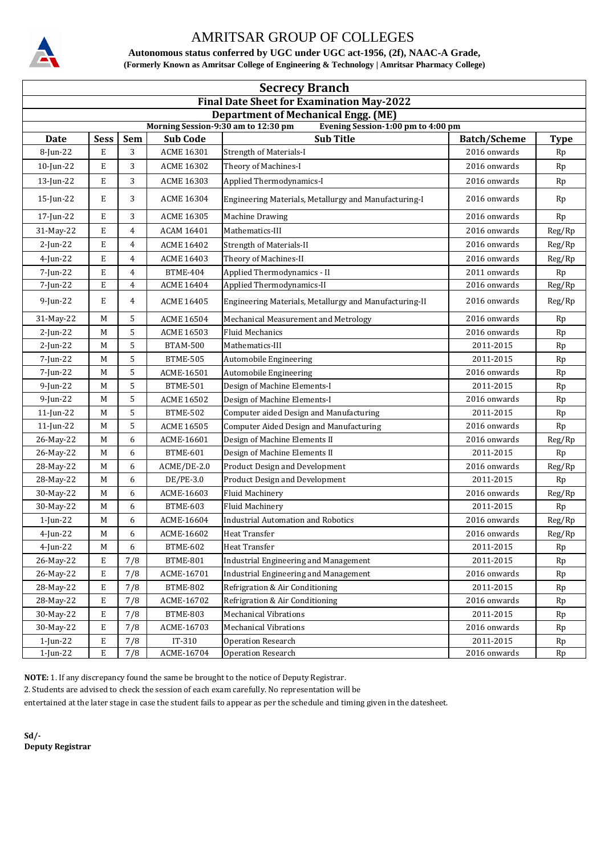

**Autonomous status conferred by UGC under UGC act-1956, (2f), NAAC-A Grade, (Formerly Known as Amritsar College of Engineering & Technology | Amritsar Pharmacy College)**

| <b>Secrecy Branch</b>                                                     |             |            |                   |                                                        |                     |             |  |  |  |
|---------------------------------------------------------------------------|-------------|------------|-------------------|--------------------------------------------------------|---------------------|-------------|--|--|--|
| <b>Final Date Sheet for Examination May-2022</b>                          |             |            |                   |                                                        |                     |             |  |  |  |
| <b>Department of Mechanical Engg. (ME)</b>                                |             |            |                   |                                                        |                     |             |  |  |  |
| Evening Session-1:00 pm to 4:00 pm<br>Morning Session-9:30 am to 12:30 pm |             |            |                   |                                                        |                     |             |  |  |  |
| <b>Date</b>                                                               | <b>Sess</b> | <b>Sem</b> | <b>Sub Code</b>   | <b>Sub Title</b>                                       | <b>Batch/Scheme</b> | <b>Type</b> |  |  |  |
| 8-Jun-22                                                                  | E           | 3          | <b>ACME 16301</b> | <b>Strength of Materials-I</b>                         | 2016 onwards        | Rp          |  |  |  |
| $10$ -Jun-22                                                              | E           | 3          | ACME 16302        | Theory of Machines-I                                   | 2016 onwards        | Rp          |  |  |  |
| 13-Jun-22                                                                 | E           | 3          | <b>ACME 16303</b> | Applied Thermodynamics-I                               | 2016 onwards        | Rp          |  |  |  |
| $15$ -Jun-22                                                              | E           | 3          | <b>ACME 16304</b> | Engineering Materials, Metallurgy and Manufacturing-I  | 2016 onwards        | Rp          |  |  |  |
| 17-Jun-22                                                                 | E           | 3          | <b>ACME 16305</b> | <b>Machine Drawing</b>                                 | 2016 onwards        | Rp          |  |  |  |
| 31-May-22                                                                 | E           | 4          | ACAM 16401        | Mathematics-III                                        | 2016 onwards        | Reg/Rp      |  |  |  |
| $2$ -Jun-22                                                               | E           | 4          | <b>ACME 16402</b> | <b>Strength of Materials-II</b>                        | 2016 onwards        | Reg/Rp      |  |  |  |
| $4$ -Jun-22                                                               | E           | 4          | <b>ACME 16403</b> | Theory of Machines-II                                  | 2016 onwards        | Reg/Rp      |  |  |  |
| 7-Jun-22                                                                  | E           | 4          | <b>BTME-404</b>   | Applied Thermodynamics - II                            | 2011 onwards        | Rp          |  |  |  |
| 7-Jun-22                                                                  | E           | 4          | <b>ACME 16404</b> | Applied Thermodynamics-II                              | 2016 onwards        | Reg/Rp      |  |  |  |
| $9$ -Jun-22                                                               | E           | 4          | <b>ACME 16405</b> | Engineering Materials, Metallurgy and Manufacturing-II | 2016 onwards        | Reg/Rp      |  |  |  |
| 31-May-22                                                                 | M           | 5          | <b>ACME 16504</b> | Mechanical Measurement and Metrology                   | 2016 onwards        | Rp          |  |  |  |
| $2$ -Jun-22                                                               | М           | 5          | <b>ACME 16503</b> | <b>Fluid Mechanics</b>                                 | 2016 onwards        | Rp          |  |  |  |
| $2$ -Jun-22                                                               | М           | 5          | <b>BTAM-500</b>   | Mathematics-III                                        | 2011-2015           | Rp          |  |  |  |
| 7-Jun-22                                                                  | M           | 5          | <b>BTME-505</b>   | Automobile Engineering                                 | 2011-2015           | Rp          |  |  |  |
| 7-Jun-22                                                                  | М           | 5          | ACME-16501        | Automobile Engineering                                 | 2016 onwards        | Rp          |  |  |  |
| $9$ -Jun-22                                                               | М           | 5          | <b>BTME-501</b>   | Design of Machine Elements-I                           | 2011-2015           | Rp          |  |  |  |
| $9$ -Jun-22                                                               | М           | 5          | <b>ACME 16502</b> | Design of Machine Elements-I                           | 2016 onwards        | Rp          |  |  |  |
| $11$ -Jun-22                                                              | М           | 5          | <b>BTME-502</b>   | Computer aided Design and Manufacturing                | 2011-2015           | Rp          |  |  |  |
| 11-Jun-22                                                                 | M           | 5          | <b>ACME 16505</b> | Computer Aided Design and Manufacturing                | 2016 onwards        | Rp          |  |  |  |
| 26-May-22                                                                 | M           | 6          | ACME-16601        | Design of Machine Elements II                          | 2016 onwards        | Reg/Rp      |  |  |  |
| 26-May-22                                                                 | М           | 6          | <b>BTME-601</b>   | Design of Machine Elements II                          | 2011-2015           | Rp          |  |  |  |
| 28-May-22                                                                 | М           | 6          | ACME/DE-2.0       | <b>Product Design and Development</b>                  | 2016 onwards        | Reg/Rp      |  |  |  |
| 28-May-22                                                                 | М           | 6          | DE/PE-3.0         | <b>Product Design and Development</b>                  | 2011-2015           | Rp          |  |  |  |
| 30-May-22                                                                 | М           | 6          | ACME-16603        | Fluid Machinery                                        | 2016 onwards        | Reg/Rp      |  |  |  |
| 30-May-22                                                                 | M           | 6          | BTME-603          | <b>Fluid Machinery</b>                                 | 2011-2015           | Rp          |  |  |  |
| 1-Jun-22                                                                  | М           | 6          | ACME-16604        | <b>Industrial Automation and Robotics</b>              | 2016 onwards        | Reg/Rp      |  |  |  |
| 4-Jun-22                                                                  | $\mathbf M$ | 6          | ACME-16602        | Heat Transfer                                          | 2016 onwards        | Reg/Rp      |  |  |  |
| 4-Jun-22                                                                  | M           | 6          | BTME-602          | Heat Transfer                                          | 2011-2015           | Rp          |  |  |  |
| 26-May-22                                                                 | E           | 7/8        | <b>BTME-801</b>   | <b>Industrial Engineering and Management</b>           | 2011-2015           | Rp          |  |  |  |
| 26-May-22                                                                 | E           | 7/8        | ACME-16701        | <b>Industrial Engineering and Management</b>           | 2016 onwards        | Rp          |  |  |  |
| 28-May-22                                                                 | E           | 7/8        | <b>BTME-802</b>   | Refrigration & Air Conditioning                        | 2011-2015           | Rp          |  |  |  |
| 28-May-22                                                                 | E           | 7/8        | ACME-16702        | Refrigration & Air Conditioning                        | 2016 onwards        | Rp          |  |  |  |
| 30-May-22                                                                 | E           | 7/8        | BTME-803          | <b>Mechanical Vibrations</b>                           | 2011-2015           | Rp          |  |  |  |
| 30-May-22                                                                 | E           | 7/8        | ACME-16703        | <b>Mechanical Vibrations</b>                           | 2016 onwards        | Rp          |  |  |  |
| 1-Jun-22                                                                  | E           | 7/8        | $IT-310$          | <b>Operation Research</b>                              | 2011-2015           | Rp          |  |  |  |
| 1-Jun-22                                                                  | E           | 7/8        | ACME-16704        | Operation Research                                     | 2016 onwards        | Rp          |  |  |  |

**NOTE:** 1. If any discrepancy found the same be brought to the notice of Deputy Registrar.

2. Students are advised to check the session of each exam carefully. No representation will be

entertained at the later stage in case the student fails to appear as per the schedule and timing given in the datesheet.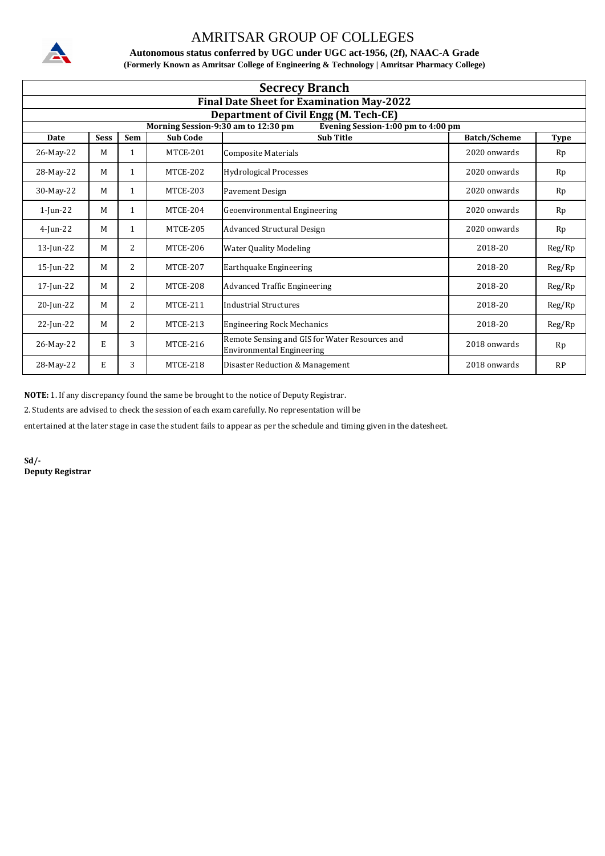

**Autonomous status conferred by UGC under UGC act-1956, (2f), NAAC-A Grade (Formerly Known as Amritsar College of Engineering & Technology | Amritsar Pharmacy College)**

| <b>Secrecy Branch</b> |                                                  |              |                 |                                                                                    |                     |             |  |  |  |  |
|-----------------------|--------------------------------------------------|--------------|-----------------|------------------------------------------------------------------------------------|---------------------|-------------|--|--|--|--|
|                       | <b>Final Date Sheet for Examination May-2022</b> |              |                 |                                                                                    |                     |             |  |  |  |  |
|                       | <b>Department of Civil Engg (M. Tech-CE)</b>     |              |                 |                                                                                    |                     |             |  |  |  |  |
|                       |                                                  |              |                 | Morning Session-9:30 am to 12:30 pm<br>Evening Session-1:00 pm to 4:00 pm          |                     |             |  |  |  |  |
| <b>Date</b>           | <b>Sess</b>                                      | Sem          | <b>Sub Code</b> | <b>Sub Title</b>                                                                   | <b>Batch/Scheme</b> | <b>Type</b> |  |  |  |  |
| 26-May-22             | M                                                | 1            | MTCE-201        | Composite Materials                                                                | 2020 onwards        | Rp          |  |  |  |  |
| 28-May-22             | M                                                | 1            | <b>MTCE-202</b> | <b>Hydrological Processes</b>                                                      | 2020 onwards        | Rp          |  |  |  |  |
| 30-May-22             | M                                                | 1            | <b>MTCE-203</b> | <b>Pavement Design</b>                                                             | 2020 onwards        | Rp          |  |  |  |  |
| $1$ -Jun-22           | M                                                | 1            | <b>MTCE-204</b> | Geoenvironmental Engineering                                                       | 2020 onwards        | Rp          |  |  |  |  |
| $4$ -Jun-22           | M                                                | $\mathbf{1}$ | <b>MTCE-205</b> | Advanced Structural Design                                                         | 2020 onwards        | Rp          |  |  |  |  |
| $13$ -Jun-22          | M                                                | 2            | <b>MTCE-206</b> | <b>Water Quality Modeling</b>                                                      | 2018-20             | Reg/Rp      |  |  |  |  |
| $15$ -Jun-22          | M                                                | 2            | <b>MTCE-207</b> | Earthquake Engineering                                                             | 2018-20             | Reg/Rp      |  |  |  |  |
| 17-Jun-22             | M                                                | 2            | <b>MTCE-208</b> | <b>Advanced Traffic Engineering</b>                                                | 2018-20             | Reg/Rp      |  |  |  |  |
| 20-Jun-22             | M                                                | 2            | <b>MTCE-211</b> | Industrial Structures                                                              | 2018-20             | Reg/Rp      |  |  |  |  |
| 22-Jun-22             | M                                                | 2            | MTCE-213        | <b>Engineering Rock Mechanics</b>                                                  | 2018-20             | Reg/Rp      |  |  |  |  |
| 26-May-22             | E                                                | 3            | <b>MTCE-216</b> | Remote Sensing and GIS for Water Resources and<br><b>Environmental Engineering</b> | 2018 onwards        | Rp          |  |  |  |  |
| 28-May-22             | E                                                | 3            | <b>MTCE-218</b> | Disaster Reduction & Management                                                    | 2018 onwards        | RP          |  |  |  |  |

**NOTE:** 1. If any discrepancy found the same be brought to the notice of Deputy Registrar.

2. Students are advised to check the session of each exam carefully. No representation will be

entertained at the later stage in case the student fails to appear as per the schedule and timing given in the datesheet.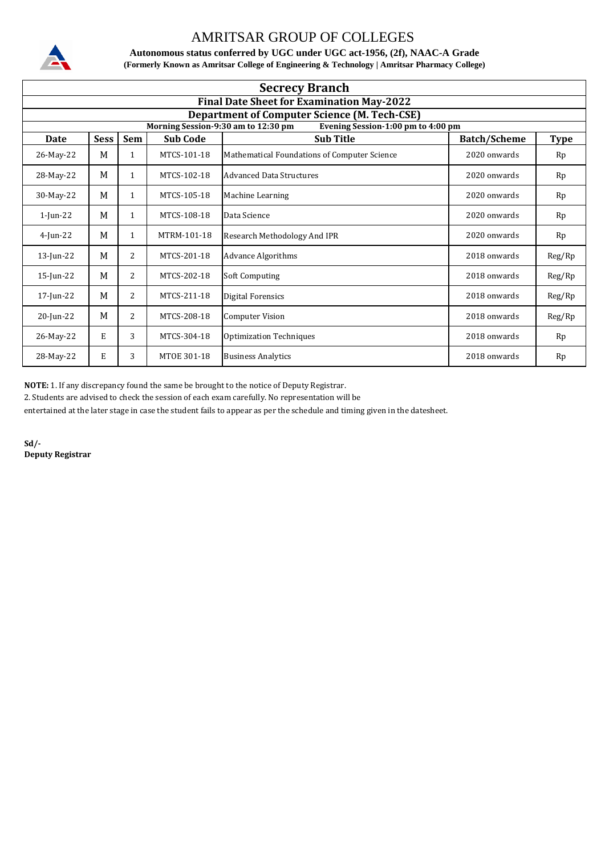

**Autonomous status conferred by UGC under UGC act-1956, (2f), NAAC-A Grade (Formerly Known as Amritsar College of Engineering & Technology | Amritsar Pharmacy College)**

|              | <b>Secrecy Branch</b>                               |              |                 |                                                                                               |                     |             |  |  |  |  |
|--------------|-----------------------------------------------------|--------------|-----------------|-----------------------------------------------------------------------------------------------|---------------------|-------------|--|--|--|--|
|              | <b>Final Date Sheet for Examination May-2022</b>    |              |                 |                                                                                               |                     |             |  |  |  |  |
|              | <b>Department of Computer Science (M. Tech-CSE)</b> |              |                 |                                                                                               |                     |             |  |  |  |  |
| <b>Date</b>  | <b>Sess</b>                                         | Sem          | <b>Sub Code</b> | Morning Session-9:30 am to 12:30 pm<br>Evening Session-1:00 pm to 4:00 pm<br><b>Sub Title</b> | <b>Batch/Scheme</b> | <b>Type</b> |  |  |  |  |
| 26-May-22    | M                                                   | 1            | MTCS-101-18     | Mathematical Foundations of Computer Science                                                  | 2020 onwards        | Rp          |  |  |  |  |
| 28-May-22    | M                                                   | 1            | MTCS-102-18     | <b>Advanced Data Structures</b>                                                               | 2020 onwards        | Rp          |  |  |  |  |
| 30-May-22    | M                                                   | $\mathbf{1}$ | MTCS-105-18     | Machine Learning                                                                              | 2020 onwards        | Rp          |  |  |  |  |
| $1$ -Jun-22  | M                                                   | $\mathbf{1}$ | MTCS-108-18     | Data Science                                                                                  | 2020 onwards        | Rp          |  |  |  |  |
| $4$ -Jun-22  | M                                                   | $\mathbf{1}$ | MTRM-101-18     | Research Methodology And IPR                                                                  | 2020 onwards        | Rp          |  |  |  |  |
| $13$ -Jun-22 | M                                                   | 2            | MTCS-201-18     | <b>Advance Algorithms</b>                                                                     | 2018 onwards        | Reg/Rp      |  |  |  |  |
| $15$ -Jun-22 | M                                                   | 2            | MTCS-202-18     | Soft Computing                                                                                | 2018 onwards        | Reg/Rp      |  |  |  |  |
| 17-Jun-22    | M                                                   | 2            | MTCS-211-18     | <b>Digital Forensics</b>                                                                      | 2018 onwards        | Reg/Rp      |  |  |  |  |
| 20-Jun-22    | M                                                   | 2            | MTCS-208-18     | <b>Computer Vision</b>                                                                        | 2018 onwards        | Reg/Rp      |  |  |  |  |
| 26-May-22    | E                                                   | 3            | MTCS-304-18     | <b>Optimization Techniques</b>                                                                | 2018 onwards        | Rp          |  |  |  |  |
| 28-May-22    | E                                                   | 3            | MTOE 301-18     | <b>Business Analytics</b>                                                                     | 2018 onwards        | Rp          |  |  |  |  |

**NOTE:** 1. If any discrepancy found the same be brought to the notice of Deputy Registrar.

2. Students are advised to check the session of each exam carefully. No representation will be

entertained at the later stage in case the student fails to appear as per the schedule and timing given in the datesheet.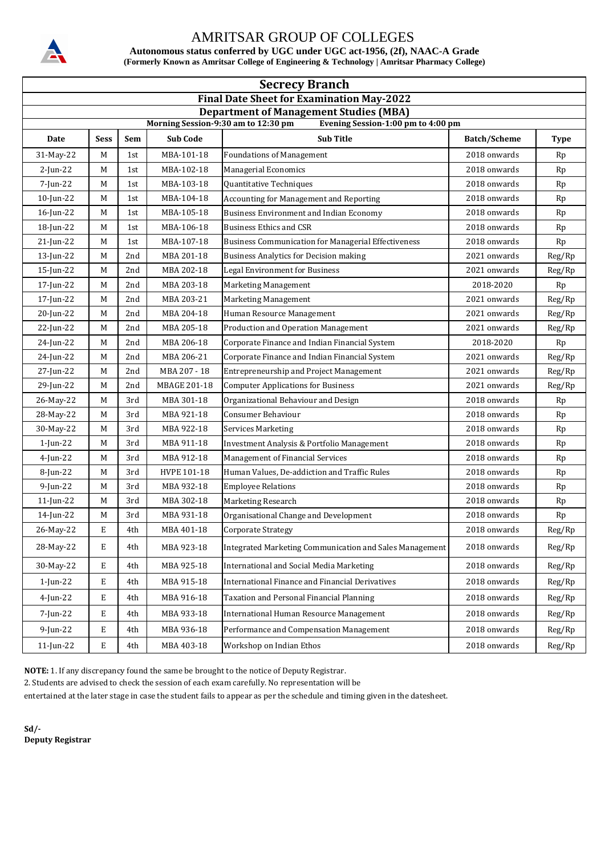

**Autonomous status conferred by UGC under UGC act-1956, (2f), NAAC-A Grade (Formerly Known as Amritsar College of Engineering & Technology | Amritsar Pharmacy College)**

| <b>Secrecy Branch</b>                                                     |                                               |       |                     |                                                            |                     |             |  |  |  |  |
|---------------------------------------------------------------------------|-----------------------------------------------|-------|---------------------|------------------------------------------------------------|---------------------|-------------|--|--|--|--|
| <b>Final Date Sheet for Examination May-2022</b>                          |                                               |       |                     |                                                            |                     |             |  |  |  |  |
|                                                                           | <b>Department of Management Studies (MBA)</b> |       |                     |                                                            |                     |             |  |  |  |  |
| Morning Session-9:30 am to 12:30 pm<br>Evening Session-1:00 pm to 4:00 pm |                                               |       |                     |                                                            |                     |             |  |  |  |  |
| Date                                                                      | <b>Sess</b>                                   | Sem   | <b>Sub Code</b>     | <b>Sub Title</b>                                           | <b>Batch/Scheme</b> | <b>Type</b> |  |  |  |  |
| 31-May-22                                                                 | M                                             | 1st   | MBA-101-18          | <b>Foundations of Management</b>                           | 2018 onwards        | Rp          |  |  |  |  |
| 2-Jun-22                                                                  | M                                             | 1st   | MBA-102-18          | <b>Managerial Economics</b>                                | 2018 onwards        | Rp          |  |  |  |  |
| 7-Jun-22                                                                  | M                                             | 1st   | MBA-103-18          | Quantitative Techniques                                    | 2018 onwards        | Rp          |  |  |  |  |
| $10$ -Jun-22                                                              | M                                             | 1st   | MBA-104-18          | <b>Accounting for Management and Reporting</b>             | 2018 onwards        | Rp          |  |  |  |  |
| $16$ -Jun-22                                                              | M                                             | 1st   | MBA-105-18          | <b>Business Environment and Indian Economy</b>             | 2018 onwards        | Rp          |  |  |  |  |
| 18-Jun-22                                                                 | M                                             | 1st   | MBA-106-18          | <b>Business Ethics and CSR</b>                             | 2018 onwards        | Rp          |  |  |  |  |
| $21$ -Jun-22                                                              | M                                             | 1st   | MBA-107-18          | <b>Business Communication for Managerial Effectiveness</b> | 2018 onwards        | Rp          |  |  |  |  |
| $13$ -Jun-22                                                              | M                                             | 2nd   | MBA 201-18          | <b>Business Analytics for Decision making</b>              | 2021 onwards        | Reg/Rp      |  |  |  |  |
| 15-Jun-22                                                                 | M                                             | 2nd   | MBA 202-18          | <b>Legal Environment for Business</b>                      | 2021 onwards        | Reg/Rp      |  |  |  |  |
| 17-Jun-22                                                                 | M                                             | 2nd   | MBA 203-18          | Marketing Management                                       | 2018-2020           | Rp          |  |  |  |  |
| 17-Jun-22                                                                 | M                                             | 2nd   | MBA 203-21          | Marketing Management                                       | 2021 onwards        | Reg/Rp      |  |  |  |  |
| 20-Jun-22                                                                 | M                                             | 2nd   | MBA 204-18          | Human Resource Management                                  | 2021 onwards        | Reg/Rp      |  |  |  |  |
| 22-Jun-22                                                                 | М                                             | 2nd   | MBA 205-18          | Production and Operation Management                        | 2021 onwards        | Reg/Rp      |  |  |  |  |
| 24-Jun-22                                                                 | M                                             | 2nd   | MBA 206-18          | Corporate Finance and Indian Financial System              | 2018-2020           | Rp          |  |  |  |  |
| 24-Jun-22                                                                 | М                                             | 2nd   | MBA 206-21          | Corporate Finance and Indian Financial System              | 2021 onwards        | Reg/Rp      |  |  |  |  |
| 27-Jun-22                                                                 | M                                             | 2nd   | MBA 207 - 18        | <b>Entrepreneurship and Project Management</b>             | 2021 onwards        | Reg/Rp      |  |  |  |  |
| 29-Jun-22                                                                 | M                                             | 2nd   | <b>MBAGE 201-18</b> | <b>Computer Applications for Business</b>                  | 2021 onwards        | Reg/Rp      |  |  |  |  |
| 26-May-22                                                                 | M                                             | 3rd   | MBA 301-18          | Organizational Behaviour and Design                        | 2018 onwards        | Rp          |  |  |  |  |
| 28-May-22                                                                 | M                                             | 3rd   | MBA 921-18          | <b>Consumer Behaviour</b>                                  | 2018 onwards        | Rp          |  |  |  |  |
| 30-May-22                                                                 | M                                             | 3rd   | MBA 922-18          | <b>Services Marketing</b>                                  | 2018 onwards        | Rp          |  |  |  |  |
| $1$ -Jun-22                                                               | M                                             | $3rd$ | MBA 911-18          | Investment Analysis & Portfolio Management                 | 2018 onwards        | Rp          |  |  |  |  |
| $4$ -Jun-22                                                               | M                                             | 3rd   | MBA 912-18          | Management of Financial Services                           | 2018 onwards        | Rp          |  |  |  |  |
| 8-Jun-22                                                                  | M                                             | 3rd   | HVPE 101-18         | Human Values, De-addiction and Traffic Rules               | 2018 onwards        | Rp          |  |  |  |  |
| $9$ -Jun-22                                                               | М                                             | 3rd   | MBA 932-18          | <b>Employee Relations</b>                                  | 2018 onwards        | Rp          |  |  |  |  |
| $11$ -Jun-22                                                              | M                                             | 3rd   | MBA 302-18          | Marketing Research                                         | 2018 onwards        | Rp          |  |  |  |  |
| 14-Jun-22                                                                 | M                                             | 3rd   | MBA 931-18          | Organisational Change and Development                      | 2018 onwards        | Rp          |  |  |  |  |
| 26-May-22                                                                 | E                                             | 4th   | MBA 401-18          | Corporate Strategy                                         | 2018 onwards        | Reg/Rp      |  |  |  |  |
| 28-May-22                                                                 | Е                                             | 4th   | MBA 923-18          | Integrated Marketing Communication and Sales Management    | 2018 onwards        | Reg/Rp      |  |  |  |  |
| 30-May-22                                                                 | Е                                             | 4th   | MBA 925-18          | International and Social Media Marketing                   | 2018 onwards        | Reg/Rp      |  |  |  |  |
| $1$ -Jun-22                                                               | E                                             | 4th   | MBA 915-18          | <b>International Finance and Financial Derivatives</b>     | 2018 onwards        | Reg/Rp      |  |  |  |  |
| 4-Jun-22                                                                  | E                                             | 4th   | MBA 916-18          | Taxation and Personal Financial Planning                   | 2018 onwards        | Reg/Rp      |  |  |  |  |
| 7-Jun-22                                                                  | Е                                             | 4th   | MBA 933-18          | <b>International Human Resource Management</b>             | 2018 onwards        | Reg/Rp      |  |  |  |  |
| 9-Jun-22                                                                  | E                                             | 4th   | MBA 936-18          | Performance and Compensation Management                    | 2018 onwards        | Reg/Rp      |  |  |  |  |
| 11-Jun-22                                                                 | $\mathbf E$                                   | 4th   | MBA 403-18          | Workshop on Indian Ethos                                   | 2018 onwards        | Reg/Rp      |  |  |  |  |

**NOTE:** 1. If any discrepancy found the same be brought to the notice of Deputy Registrar.

2. Students are advised to check the session of each exam carefully. No representation will be

entertained at the later stage in case the student fails to appear as per the schedule and timing given in the datesheet.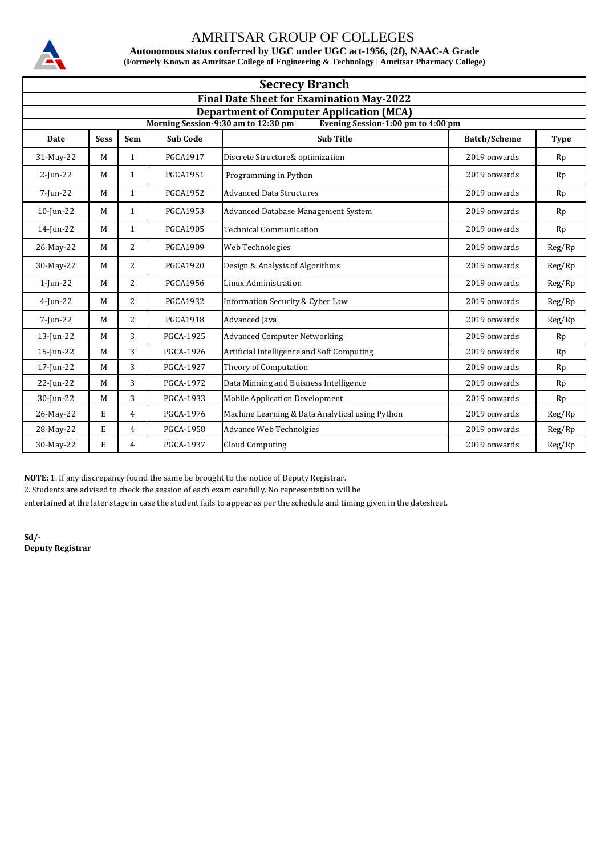

**Autonomous status conferred by UGC under UGC act-1956, (2f), NAAC-A Grade (Formerly Known as Amritsar College of Engineering & Technology | Amritsar Pharmacy College)**

| <b>Secrecy Branch</b>                                                                  |                                                  |                |                  |                                                 |                     |             |  |  |  |  |
|----------------------------------------------------------------------------------------|--------------------------------------------------|----------------|------------------|-------------------------------------------------|---------------------|-------------|--|--|--|--|
|                                                                                        | <b>Final Date Sheet for Examination May-2022</b> |                |                  |                                                 |                     |             |  |  |  |  |
| <b>Department of Computer Application (MCA)</b><br>Morning Session-9:30 am to 12:30 pm |                                                  |                |                  |                                                 |                     |             |  |  |  |  |
|                                                                                        |                                                  |                |                  | Evening Session-1:00 pm to 4:00 pm              |                     |             |  |  |  |  |
| Date                                                                                   | <b>Sess</b>                                      | Sem            | <b>Sub Code</b>  | <b>Sub Title</b>                                | <b>Batch/Scheme</b> | <b>Type</b> |  |  |  |  |
| 31-May-22                                                                              | M                                                | $\mathbf{1}$   | <b>PGCA1917</b>  | Discrete Structure& optimization                | 2019 onwards        | Rp          |  |  |  |  |
| $2$ -Jun-22                                                                            | M                                                | $\mathbf{1}$   | PGCA1951         | Programming in Python                           | 2019 onwards        | Rp          |  |  |  |  |
| 7-Jun-22                                                                               | M                                                | $\mathbf{1}$   | <b>PGCA1952</b>  | <b>Advanced Data Structures</b>                 | 2019 onwards        | Rp          |  |  |  |  |
| $10$ -Jun-22                                                                           | M                                                | $\mathbf{1}$   | <b>PGCA1953</b>  | Advanced Database Management System             | 2019 onwards        | Rp          |  |  |  |  |
| 14-Jun-22                                                                              | M                                                | $\mathbf{1}$   | <b>PGCA1905</b>  | <b>Technical Communication</b>                  | 2019 onwards        | Rp          |  |  |  |  |
| 26-May-22                                                                              | M                                                | 2              | <b>PGCA1909</b>  | Web Technologies                                | 2019 onwards        | Reg/Rp      |  |  |  |  |
| 30-May-22                                                                              | M                                                | 2              | <b>PGCA1920</b>  | Design & Analysis of Algorithms                 | 2019 onwards        | Reg/Rp      |  |  |  |  |
| $1$ -Jun-22                                                                            | M                                                | 2              | <b>PGCA1956</b>  | Linux Administration                            | 2019 onwards        | Reg/Rp      |  |  |  |  |
| $4$ -Jun-22                                                                            | M                                                | 2              | <b>PGCA1932</b>  | <b>Information Security &amp; Cyber Law</b>     | 2019 onwards        | Reg/Rp      |  |  |  |  |
| $7$ -Jun-22                                                                            | M                                                | 2              | <b>PGCA1918</b>  | Advanced Java                                   | 2019 onwards        | Reg/Rp      |  |  |  |  |
| 13-Jun-22                                                                              | M                                                | 3              | <b>PGCA-1925</b> | <b>Advanced Computer Networking</b>             | 2019 onwards        | Rp          |  |  |  |  |
| $15$ -Jun-22                                                                           | M                                                | 3              | <b>PGCA-1926</b> | Artificial Intelligence and Soft Computing      | 2019 onwards        | Rp          |  |  |  |  |
| 17-Jun-22                                                                              | M                                                | 3              | <b>PGCA-1927</b> | Theory of Computation                           | 2019 onwards        | Rp          |  |  |  |  |
| 22-Jun-22                                                                              | M                                                | 3              | <b>PGCA-1972</b> | Data Minning and Buisness Intelligence          | 2019 onwards        | Rp          |  |  |  |  |
| 30-Jun-22                                                                              | M                                                | 3              | PGCA-1933        | <b>Mobile Application Development</b>           | 2019 onwards        | Rp          |  |  |  |  |
| 26-May-22                                                                              | E                                                | 4              | PGCA-1976        | Machine Learning & Data Analytical using Python | 2019 onwards        | Reg/Rp      |  |  |  |  |
| 28-May-22                                                                              | E                                                | $\overline{4}$ | <b>PGCA-1958</b> | Advance Web Technolgies                         | 2019 onwards        | Reg/Rp      |  |  |  |  |
| 30-May-22                                                                              | E                                                | 4              | PGCA-1937        | <b>Cloud Computing</b>                          | 2019 onwards        | Reg/Rp      |  |  |  |  |

**NOTE:** 1. If any discrepancy found the same be brought to the notice of Deputy Registrar.

2. Students are advised to check the session of each exam carefully. No representation will be

entertained at the later stage in case the student fails to appear as per the schedule and timing given in the datesheet.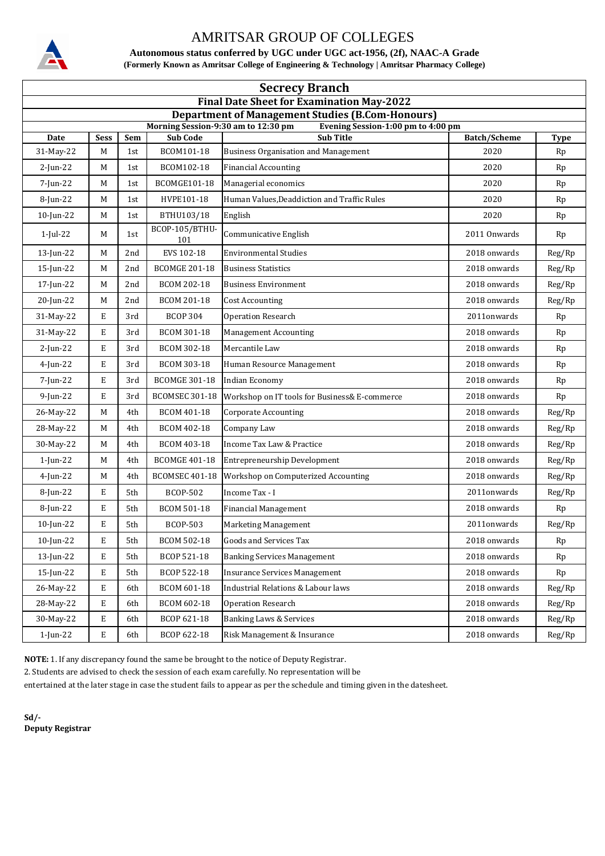

**Autonomous status conferred by UGC under UGC act-1956, (2f), NAAC-A Grade (Formerly Known as Amritsar College of Engineering & Technology | Amritsar Pharmacy College)**

| <b>Secrecy Branch</b>                                                                          |             |     |                       |                                                        |                     |             |  |  |  |
|------------------------------------------------------------------------------------------------|-------------|-----|-----------------------|--------------------------------------------------------|---------------------|-------------|--|--|--|
| <b>Final Date Sheet for Examination May-2022</b>                                               |             |     |                       |                                                        |                     |             |  |  |  |
| <b>Department of Management Studies (B.Com-Honours)</b><br>Morning Session-9:30 am to 12:30 pm |             |     |                       |                                                        |                     |             |  |  |  |
| Date                                                                                           | <b>Sess</b> | Sem | <b>Sub Code</b>       | Evening Session-1:00 pm to 4:00 pm<br><b>Sub Title</b> | <b>Batch/Scheme</b> | <b>Type</b> |  |  |  |
| 31-May-22                                                                                      | M           | 1st | BCOM101-18            | <b>Business Organisation and Management</b>            | 2020                | Rp          |  |  |  |
| $2$ -Jun-22                                                                                    | M           | 1st | BCOM102-18            | <b>Financial Accounting</b>                            | 2020                | Rp          |  |  |  |
| 7-Jun-22                                                                                       | М           | 1st | BCOMGE101-18          | Managerial economics                                   | 2020                | Rp          |  |  |  |
| 8-Jun-22                                                                                       | M           | 1st | HVPE101-18            | Human Values, Deaddiction and Traffic Rules            | 2020                | Rp          |  |  |  |
| 10-Jun-22                                                                                      | M           | 1st | BTHU103/18            | English                                                | 2020                | Rp          |  |  |  |
| $1$ -Jul-22                                                                                    | M           | 1st | BCOP-105/BTHU-<br>101 | Communicative English                                  | 2011 Onwards        | Rp          |  |  |  |
| 13-Jun-22                                                                                      | M           | 2nd | EVS 102-18            | <b>Environmental Studies</b>                           | 2018 onwards        | Reg/Rp      |  |  |  |
| $15$ -Jun-22                                                                                   | M           | 2nd | <b>BCOMGE 201-18</b>  | <b>Business Statistics</b>                             | 2018 onwards        | Reg/Rp      |  |  |  |
| 17-Jun-22                                                                                      | M           | 2nd | <b>BCOM 202-18</b>    | <b>Business Environment</b>                            | 2018 onwards        | Reg/Rp      |  |  |  |
| 20-Jun-22                                                                                      | М           | 2nd | <b>BCOM 201-18</b>    | <b>Cost Accounting</b>                                 | 2018 onwards        | Reg/Rp      |  |  |  |
| 31-May-22                                                                                      | E           | 3rd | <b>BCOP 304</b>       | <b>Operation Research</b>                              | 2011onwards         | Rp          |  |  |  |
| 31-May-22                                                                                      | E           | 3rd | <b>BCOM 301-18</b>    | <b>Management Accounting</b>                           | 2018 onwards        | Rp          |  |  |  |
| $2$ -Jun-22                                                                                    | E           | 3rd | BCOM 302-18           | Mercantile Law                                         | 2018 onwards        | Rp          |  |  |  |
| $4$ -Jun-22                                                                                    | E           | 3rd | BCOM 303-18           | Human Resource Management                              | 2018 onwards        | Rp          |  |  |  |
| 7-Jun-22                                                                                       | E           | 3rd | <b>BCOMGE 301-18</b>  | <b>Indian Economy</b>                                  | 2018 onwards        | Rp          |  |  |  |
| $9$ -Jun-22                                                                                    | E           | 3rd | <b>BCOMSEC 301-18</b> | Workshop on IT tools for Business& E-commerce          | 2018 onwards        | Rp          |  |  |  |
| 26-May-22                                                                                      | M           | 4th | BCOM 401-18           | <b>Corporate Accounting</b>                            | 2018 onwards        | Reg/Rp      |  |  |  |
| 28-May-22                                                                                      | M           | 4th | <b>BCOM 402-18</b>    | Company Law                                            | 2018 onwards        | Reg/Rp      |  |  |  |
| 30-May-22                                                                                      | M           | 4th | BCOM 403-18           | Income Tax Law & Practice                              | 2018 onwards        | Reg/Rp      |  |  |  |
| $1$ -Jun-22                                                                                    | M           | 4th | <b>BCOMGE 401-18</b>  | Entrepreneurship Development                           | 2018 onwards        | Reg/Rp      |  |  |  |
| $4$ -Jun-22                                                                                    | M           | 4th | <b>BCOMSEC 401-18</b> | Workshop on Computerized Accounting                    | 2018 onwards        | Reg/Rp      |  |  |  |
| 8-Jun-22                                                                                       | E           | 5th | <b>BCOP-502</b>       | Income Tax - I                                         | 2011onwards         | Reg/Rp      |  |  |  |
| 8-Jun-22                                                                                       | E           | 5th | <b>BCOM 501-18</b>    | <b>Financial Management</b>                            | 2018 onwards        | Rp          |  |  |  |
| 10-Jun-22                                                                                      | E           | 5th | BCOP-503              | <b>Marketing Management</b>                            | 2011onwards         | Reg/Rp      |  |  |  |
| 10-Jun-22                                                                                      | E           | 5th | <b>BCOM 502-18</b>    | <b>Goods and Services Tax</b>                          | 2018 onwards        | Rp          |  |  |  |
| $13$ -Jun-22                                                                                   | E           | 5th | BCOP 521-18           | <b>Banking Services Management</b>                     | 2018 onwards        | Rp          |  |  |  |
| $15$ -Jun-22                                                                                   | E           | 5th | BCOP 522-18           | <b>Insurance Services Management</b>                   | 2018 onwards        | Rp          |  |  |  |
| 26-May-22                                                                                      | E           | 6th | BCOM 601-18           | <b>Industrial Relations &amp; Labour laws</b>          | 2018 onwards        | Reg/Rp      |  |  |  |
| 28-May-22                                                                                      | E           | 6th | BCOM 602-18           | <b>Operation Research</b>                              | 2018 onwards        | Reg/Rp      |  |  |  |
| 30-May-22                                                                                      | E           | 6th | BCOP 621-18           | <b>Banking Laws &amp; Services</b>                     | 2018 onwards        | Reg/Rp      |  |  |  |
| 1-Jun-22                                                                                       | E           | 6th | BCOP 622-18           | Risk Management & Insurance                            | 2018 onwards        | Reg/Rp      |  |  |  |

**NOTE:** 1. If any discrepancy found the same be brought to the notice of Deputy Registrar.

2. Students are advised to check the session of each exam carefully. No representation will be

entertained at the later stage in case the student fails to appear as per the schedule and timing given in the datesheet.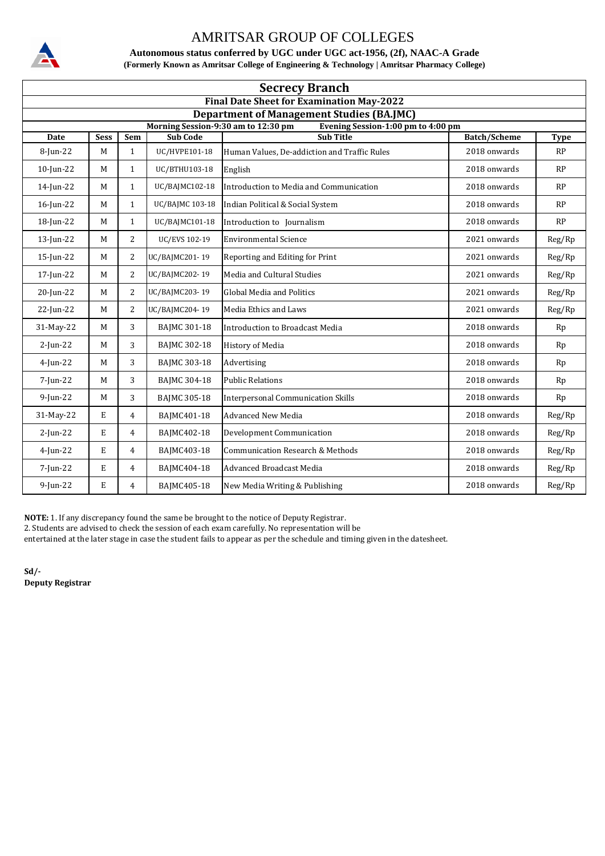

**Autonomous status conferred by UGC under UGC act-1956, (2f), NAAC-A Grade (Formerly Known as Amritsar College of Engineering & Technology | Amritsar Pharmacy College)**

| <b>Secrecy Branch</b>                                                                                                         |                                                  |                |                     |                                              |                     |             |  |  |  |
|-------------------------------------------------------------------------------------------------------------------------------|--------------------------------------------------|----------------|---------------------|----------------------------------------------|---------------------|-------------|--|--|--|
|                                                                                                                               | <b>Final Date Sheet for Examination May-2022</b> |                |                     |                                              |                     |             |  |  |  |
| <b>Department of Management Studies (BA.JMC)</b><br>Morning Session-9:30 am to 12:30 pm<br>Evening Session-1:00 pm to 4:00 pm |                                                  |                |                     |                                              |                     |             |  |  |  |
| Date                                                                                                                          | <b>Sess</b>                                      | Sem            | <b>Sub Code</b>     | <b>Sub Title</b>                             | <b>Batch/Scheme</b> | <b>Type</b> |  |  |  |
| 8-Jun-22                                                                                                                      | M                                                | $\mathbf{1}$   | UC/HVPE101-18       | Human Values, De-addiction and Traffic Rules | 2018 onwards        | <b>RP</b>   |  |  |  |
| 10-Jun-22                                                                                                                     | M                                                | $\mathbf{1}$   | UC/BTHU103-18       | English                                      | 2018 onwards        | RP          |  |  |  |
| 14-Jun-22                                                                                                                     | M                                                | $\mathbf{1}$   | UC/BAJMC102-18      | Introduction to Media and Communication      | 2018 onwards        | RP          |  |  |  |
| 16-Jun-22                                                                                                                     | M                                                | $\mathbf{1}$   | UC/BAJMC 103-18     | Indian Political & Social System             | 2018 onwards        | RP          |  |  |  |
| 18-Jun-22                                                                                                                     | M                                                | $\mathbf{1}$   | UC/BAJMC101-18      | Introduction to Journalism                   | 2018 onwards        | RP          |  |  |  |
| $13$ -Jun-22                                                                                                                  | M                                                | 2              | UC/EVS 102-19       | <b>Environmental Science</b>                 | 2021 onwards        | Reg/Rp      |  |  |  |
| 15-Jun-22                                                                                                                     | M                                                | 2              | UC/BAJMC201-19      | Reporting and Editing for Print              | 2021 onwards        | Reg/Rp      |  |  |  |
| 17-Jun-22                                                                                                                     | M                                                | 2              | UC/BAJMC202-19      | Media and Cultural Studies                   | 2021 onwards        | Reg/Rp      |  |  |  |
| 20-Jun-22                                                                                                                     | M                                                | 2              | UC/BAJMC203-19      | <b>Global Media and Politics</b>             | 2021 onwards        | Reg/Rp      |  |  |  |
| 22-Jun-22                                                                                                                     | M                                                | $\overline{2}$ | UC/BAJMC204-19      | Media Ethics and Laws                        | 2021 onwards        | Reg/Rp      |  |  |  |
| 31-May-22                                                                                                                     | M                                                | 3              | <b>BAJMC 301-18</b> | Introduction to Broadcast Media              | 2018 onwards        | Rp          |  |  |  |
| $2$ -Jun-22                                                                                                                   | M                                                | 3              | <b>BAJMC 302-18</b> | <b>History of Media</b>                      | 2018 onwards        | Rp          |  |  |  |
| $4$ -Jun-22                                                                                                                   | M                                                | 3              | <b>BAJMC 303-18</b> | Advertising                                  | 2018 onwards        | Rp          |  |  |  |
| 7-Jun-22                                                                                                                      | M                                                | 3              | <b>BAJMC 304-18</b> | <b>Public Relations</b>                      | 2018 onwards        | Rp          |  |  |  |
| $9$ -Jun-22                                                                                                                   | M                                                | 3              | <b>BAJMC 305-18</b> | <b>Interpersonal Communication Skills</b>    | 2018 onwards        | Rp          |  |  |  |
| 31-May-22                                                                                                                     | E                                                | 4              | BAJMC401-18         | <b>Advanced New Media</b>                    | 2018 onwards        | Reg/Rp      |  |  |  |
| $2$ -Jun-22                                                                                                                   | E                                                | 4              | BAJMC402-18         | Development Communication                    | 2018 onwards        | Reg/Rp      |  |  |  |
| $4$ -Jun-22                                                                                                                   | E                                                | $\overline{4}$ | BAJMC403-18         | <b>Communication Research &amp; Methods</b>  | 2018 onwards        | Reg/Rp      |  |  |  |
| 7-Jun-22                                                                                                                      | E                                                | $\overline{4}$ | BAJMC404-18         | <b>Advanced Broadcast Media</b>              | 2018 onwards        | Reg/Rp      |  |  |  |
| $9$ -Jun-22                                                                                                                   | E                                                | 4              | BAJMC405-18         | New Media Writing & Publishing               | 2018 onwards        | Reg/Rp      |  |  |  |

**NOTE:** 1. If any discrepancy found the same be brought to the notice of Deputy Registrar.

2. Students are advised to check the session of each exam carefully. No representation will be

entertained at the later stage in case the student fails to appear as per the schedule and timing given in the datesheet.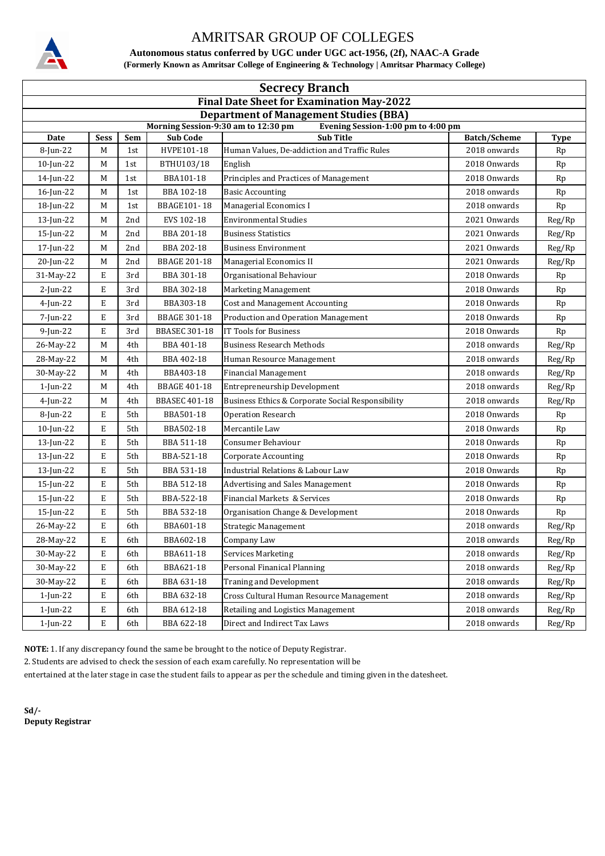

**Autonomous status conferred by UGC under UGC act-1956, (2f), NAAC-A Grade (Formerly Known as Amritsar College of Engineering & Technology | Amritsar Pharmacy College)**

| <b>Secrecy Branch</b>                                                     |             |     |                      |                                                   |                     |             |  |  |  |
|---------------------------------------------------------------------------|-------------|-----|----------------------|---------------------------------------------------|---------------------|-------------|--|--|--|
| <b>Final Date Sheet for Examination May-2022</b>                          |             |     |                      |                                                   |                     |             |  |  |  |
| <b>Department of Management Studies (BBA)</b>                             |             |     |                      |                                                   |                     |             |  |  |  |
| Morning Session-9:30 am to 12:30 pm<br>Evening Session-1:00 pm to 4:00 pm |             |     |                      |                                                   |                     |             |  |  |  |
| Date                                                                      | <b>Sess</b> | Sem | <b>Sub Code</b>      | <b>Sub Title</b>                                  | <b>Batch/Scheme</b> | <b>Type</b> |  |  |  |
| 8-Jun-22                                                                  | M           | 1st | HVPE101-18           | Human Values, De-addiction and Traffic Rules      | 2018 onwards        | Rp          |  |  |  |
| $10$ -Jun-22                                                              | M           | 1st | BTHU103/18           | English                                           | 2018 Onwards        | Rp          |  |  |  |
| 14-Jun-22                                                                 | М           | 1st | BBA101-18            | Principles and Practices of Management            | 2018 Onwards        | Rp          |  |  |  |
| $16$ -Jun-22                                                              | M           | 1st | BBA 102-18           | <b>Basic Accounting</b>                           | 2018 onwards        | Rp          |  |  |  |
| 18-Jun-22                                                                 | M           | 1st | <b>BBAGE101-18</b>   | Managerial Economics I                            | 2018 onwards        | Rp          |  |  |  |
| $13$ -Jun-22                                                              | M           | 2nd | EVS 102-18           | <b>Environmental Studies</b>                      | 2021 Onwards        | Reg/Rp      |  |  |  |
| 15-Jun-22                                                                 | М           | 2nd | BBA 201-18           | <b>Business Statistics</b>                        | 2021 Onwards        | Reg/Rp      |  |  |  |
| 17-Jun-22                                                                 | М           | 2nd | BBA 202-18           | <b>Business Environment</b>                       | 2021 Onwards        | Reg/Rp      |  |  |  |
| 20-Jun-22                                                                 | M           | 2nd | <b>BBAGE 201-18</b>  | Managerial Economics II                           | 2021 Onwards        | Reg/Rp      |  |  |  |
| 31-May-22                                                                 | E           | 3rd | BBA 301-18           | Organisational Behaviour                          | 2018 Onwards        | Rp          |  |  |  |
| $2$ -Jun-22                                                               | E           | 3rd | BBA 302-18           | Marketing Management                              | 2018 Onwards        | Rp          |  |  |  |
| $4$ -Jun-22                                                               | E           | 3rd | BBA303-18            | <b>Cost and Management Accounting</b>             | 2018 Onwards        | Rp          |  |  |  |
| 7-Jun-22                                                                  | E           | 3rd | <b>BBAGE 301-18</b>  | Production and Operation Management               | 2018 Onwards        | Rp          |  |  |  |
| $9$ -Jun-22                                                               | E           | 3rd | <b>BBASEC 301-18</b> | IT Tools for Business                             | 2018 Onwards        | Rp          |  |  |  |
| 26-May-22                                                                 | М           | 4th | BBA 401-18           | <b>Business Research Methods</b>                  | 2018 onwards        | Reg/Rp      |  |  |  |
| 28-May-22                                                                 | M           | 4th | BBA 402-18           | Human Resource Management                         | 2018 onwards        | Reg/Rp      |  |  |  |
| 30-May-22                                                                 | М           | 4th | BBA403-18            | <b>Financial Management</b>                       | 2018 onwards        | Reg/Rp      |  |  |  |
| $1$ -Jun-22                                                               | М           | 4th | <b>BBAGE 401-18</b>  | Entrepreneurship Development                      | 2018 onwards        | Reg/Rp      |  |  |  |
| $4$ -Jun-22                                                               | M           | 4th | <b>BBASEC 401-18</b> | Business Ethics & Corporate Social Responsibility | 2018 onwards        | Reg/Rp      |  |  |  |
| $8$ -Jun-22                                                               | E           | 5th | BBA501-18            | <b>Operation Research</b>                         | 2018 Onwards        | Rp          |  |  |  |
| $10$ -Jun-22                                                              | E           | 5th | BBA502-18            | Mercantile Law                                    | 2018 Onwards        | Rp          |  |  |  |
| $13$ -Jun-22                                                              | E           | 5th | BBA 511-18           | Consumer Behaviour                                | 2018 Onwards        | Rp          |  |  |  |
| $13$ -Jun-22                                                              | E           | 5th | BBA-521-18           | Corporate Accounting                              | 2018 Onwards        | Rp          |  |  |  |
| $13$ -Jun-22                                                              | E           | 5th | BBA 531-18           | <b>Industrial Relations &amp; Labour Law</b>      | 2018 Onwards        | Rp          |  |  |  |
| 15-Jun-22                                                                 | E           | 5th | BBA 512-18           | <b>Advertising and Sales Management</b>           | 2018 Onwards        | Rp          |  |  |  |
| 15-Jun-22                                                                 | E           | 5th | BBA-522-18           | Financial Markets & Services                      | 2018 Onwards        | Rp          |  |  |  |
| 15-Jun-22                                                                 | E           | 5th | BBA 532-18           | Organisation Change & Development                 | 2018 Onwards        | Rp          |  |  |  |
| 26-May-22                                                                 | E           | 6th | BBA601-18            | <b>Strategic Management</b>                       | 2018 onwards        | Reg/Rp      |  |  |  |
| 28-May-22                                                                 | E           | 6th | BBA602-18            | Company Law                                       | 2018 onwards        | Reg/Rp      |  |  |  |
| 30-May-22                                                                 | E           | 6th | BBA611-18            | <b>Services Marketing</b>                         | 2018 onwards        | Reg/Rp      |  |  |  |
| 30-May-22                                                                 | E           | 6th | BBA621-18            | Personal Finanical Planning                       | 2018 onwards        | Reg/Rp      |  |  |  |
| 30-May-22                                                                 | E           | 6th | BBA 631-18           | <b>Traning and Development</b>                    | 2018 onwards        | Reg/Rp      |  |  |  |
| 1-Jun-22                                                                  | E           | 6th | BBA 632-18           | Cross Cultural Human Resource Management          | 2018 onwards        | Reg/Rp      |  |  |  |
| 1-Jun-22                                                                  | E           | 6th | BBA 612-18           | Retailing and Logistics Management                | 2018 onwards        | Reg/Rp      |  |  |  |
| 1-Jun-22                                                                  | E           | 6th | BBA 622-18           | Direct and Indirect Tax Laws                      | 2018 onwards        | Reg/Rp      |  |  |  |

**NOTE:** 1. If any discrepancy found the same be brought to the notice of Deputy Registrar.

2. Students are advised to check the session of each exam carefully. No representation will be

entertained at the later stage in case the student fails to appear as per the schedule and timing given in the datesheet.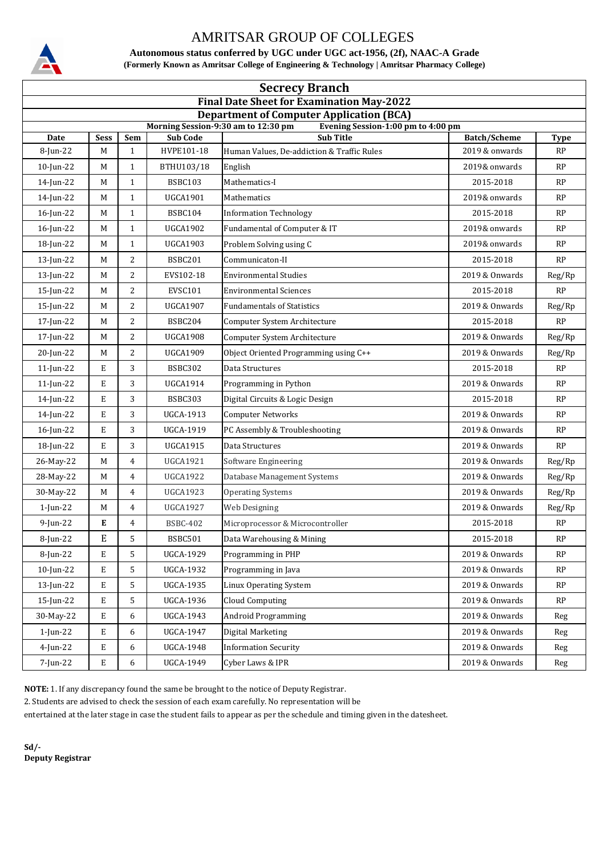

**Autonomous status conferred by UGC under UGC act-1956, (2f), NAAC-A Grade (Formerly Known as Amritsar College of Engineering & Technology | Amritsar Pharmacy College)**

| <b>Secrecy Branch</b>                                                                  |             |                |                  |                                                        |                     |               |  |  |
|----------------------------------------------------------------------------------------|-------------|----------------|------------------|--------------------------------------------------------|---------------------|---------------|--|--|
| <b>Final Date Sheet for Examination May-2022</b>                                       |             |                |                  |                                                        |                     |               |  |  |
| <b>Department of Computer Application (BCA)</b><br>Morning Session-9:30 am to 12:30 pm |             |                |                  |                                                        |                     |               |  |  |
| Date                                                                                   | <b>Sess</b> | Sem            | <b>Sub Code</b>  | Evening Session-1:00 pm to 4:00 pm<br><b>Sub Title</b> | <b>Batch/Scheme</b> | <b>Type</b>   |  |  |
| 8-Jun-22                                                                               | M           | $\mathbf{1}$   | HVPE101-18       | Human Values, De-addiction & Traffic Rules             | 2019 & onwards      | RP            |  |  |
| 10-Jun-22                                                                              | M           | $\mathbf{1}$   | BTHU103/18       | English                                                | 2019& onwards       | RP            |  |  |
| 14-Jun-22                                                                              | M           | $\mathbf{1}$   | <b>BSBC103</b>   | Mathematics-I                                          | 2015-2018           | RP            |  |  |
| 14-Jun-22                                                                              | M           | $\mathbf{1}$   | <b>UGCA1901</b>  | Mathematics                                            | 2019& onwards       | RP            |  |  |
| 16-Jun-22                                                                              | M           | $\mathbf{1}$   | <b>BSBC104</b>   | <b>Information Technology</b>                          | 2015-2018           | RP            |  |  |
| 16-Jun-22                                                                              | M           | $\mathbf{1}$   | <b>UGCA1902</b>  | Fundamental of Computer & IT                           | 2019& onwards       | RP            |  |  |
| 18-Jun-22                                                                              | M           | $\mathbf{1}$   | UGCA1903         | Problem Solving using C                                | 2019& onwards       | RP            |  |  |
| 13-Jun-22                                                                              | M           | 2              | <b>BSBC201</b>   | Communicaton-II                                        | 2015-2018           | RP            |  |  |
| $13$ -Jun-22                                                                           | M           | 2              | EVS102-18        | <b>Environmental Studies</b>                           | 2019 & Onwards      | Reg/Rp        |  |  |
| 15-Jun-22                                                                              | M           | $\overline{2}$ | EVSC101          | <b>Environmental Sciences</b>                          | 2015-2018           | RP            |  |  |
| $15$ -Jun-22                                                                           | M           | 2              | <b>UGCA1907</b>  | <b>Fundamentals of Statistics</b>                      | 2019 & Onwards      | Reg/Rp        |  |  |
| 17-Jun-22                                                                              | M           | 2              | BSBC204          | Computer System Architecture                           | 2015-2018           | RP            |  |  |
| 17-Jun-22                                                                              | М           | 2              | <b>UGCA1908</b>  | Computer System Architecture                           | 2019 & Onwards      | Reg/Rp        |  |  |
| 20-Jun-22                                                                              | M           | 2              | <b>UGCA1909</b>  | Object Oriented Programming using C++                  | 2019 & Onwards      | Reg/Rp        |  |  |
| 11-Jun-22                                                                              | E           | 3              | <b>BSBC302</b>   | Data Structures                                        | 2015-2018           | RP            |  |  |
| 11-Jun-22                                                                              | E           | 3              | <b>UGCA1914</b>  | Programming in Python                                  | 2019 & Onwards      | RP            |  |  |
| 14-Jun-22                                                                              | E           | 3              | <b>BSBC303</b>   | Digital Circuits & Logic Design                        | 2015-2018           | RP            |  |  |
| 14-Jun-22                                                                              | E           | 3              | <b>UGCA-1913</b> | <b>Computer Networks</b>                               | 2019 & Onwards      | RP            |  |  |
| $16$ -Jun-22                                                                           | E           | 3              | <b>UGCA-1919</b> | PC Assembly & Troubleshooting                          | 2019 & Onwards      | RP            |  |  |
| 18-Jun-22                                                                              | E           | 3              | <b>UGCA1915</b>  | Data Structures                                        | 2019 & Onwards      | RP            |  |  |
| 26-May-22                                                                              | M           | $\overline{4}$ | <b>UGCA1921</b>  | Software Engineering                                   | 2019 & Onwards      | Reg/Rp        |  |  |
| 28-May-22                                                                              | M           | 4              | <b>UGCA1922</b>  | Database Management Systems                            | 2019 & Onwards      | Reg/Rp        |  |  |
| 30-May-22                                                                              | M           | 4              | <b>UGCA1923</b>  | <b>Operating Systems</b>                               | 2019 & Onwards      | Reg/Rp        |  |  |
| $1$ -Jun-22                                                                            | М           | 4              | <b>UGCA1927</b>  | Web Designing                                          | 2019 & Onwards      | Reg/Rp        |  |  |
| $9$ -Jun-22                                                                            | E           | 4              | <b>BSBC-402</b>  | Microprocessor & Microcontroller                       | 2015-2018           | RP            |  |  |
| 8-Jun-22                                                                               | E           | 5              | BSBC501          | Data Warehousing & Mining                              | 2015-2018           | $\mathbf{RP}$ |  |  |
| 8-Jun-22                                                                               | E           | 5              | <b>UGCA-1929</b> | Programming in PHP                                     | 2019 & Onwards      | RP            |  |  |
| $10$ -Jun-22                                                                           | E           | 5              | <b>UGCA-1932</b> | Programming in Java                                    | 2019 & Onwards      | RP            |  |  |
| $13$ -Jun-22                                                                           | E           | 5              | UGCA-1935        | Linux Operating System                                 | 2019 & Onwards      | $\mathbf{RP}$ |  |  |
| $15$ -Jun-22                                                                           | E           | 5              | <b>UGCA-1936</b> | <b>Cloud Computing</b>                                 | 2019 & Onwards      | RP            |  |  |
| 30-May-22                                                                              | E           | 6              | <b>UGCA-1943</b> | <b>Android Programming</b>                             | 2019 & Onwards      | Reg           |  |  |
| 1-Jun-22                                                                               | E           | 6              | UGCA-1947        | Digital Marketing                                      | 2019 & Onwards      | Reg           |  |  |
| 4-Jun-22                                                                               | E           | 6              | UGCA-1948        | <b>Information Security</b>                            | 2019 & Onwards      | Reg           |  |  |
| 7-Jun-22                                                                               | E           | 6              | UGCA-1949        | Cyber Laws & IPR                                       | 2019 & Onwards      | Reg           |  |  |

**NOTE:** 1. If any discrepancy found the same be brought to the notice of Deputy Registrar.

2. Students are advised to check the session of each exam carefully. No representation will be

entertained at the later stage in case the student fails to appear as per the schedule and timing given in the datesheet.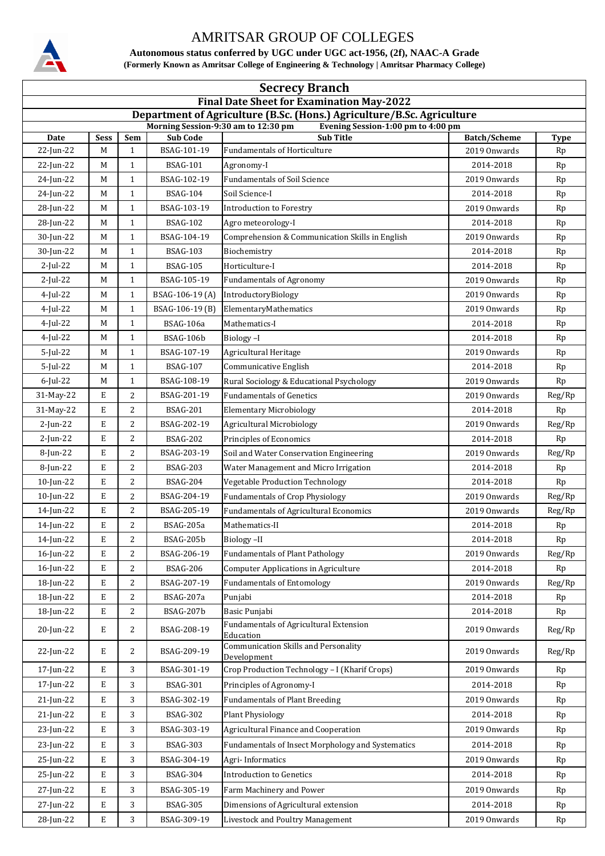

**Autonomous status conferred by UGC under UGC act-1956, (2f), NAAC-A Grade (Formerly Known as Amritsar College of Engineering & Technology | Amritsar Pharmacy College)**

| <b>Secrecy Branch</b>                                                                                         |             |                  |                  |                                                            |                     |             |  |  |
|---------------------------------------------------------------------------------------------------------------|-------------|------------------|------------------|------------------------------------------------------------|---------------------|-------------|--|--|
| <b>Final Date Sheet for Examination May-2022</b>                                                              |             |                  |                  |                                                            |                     |             |  |  |
| Department of Agriculture (B.Sc. (Hons.) Agriculture/B.Sc. Agriculture<br>Morning Session-9:30 am to 12:30 pm |             |                  |                  |                                                            |                     |             |  |  |
| Date                                                                                                          | <b>Sess</b> | Sem              | <b>Sub Code</b>  | Evening Session-1:00 pm to 4:00 pm<br><b>Sub Title</b>     | <b>Batch/Scheme</b> | <b>Type</b> |  |  |
| 22-Jun-22                                                                                                     | М           | $\mathbf{1}$     | BSAG-101-19      | <b>Fundamentals of Horticulture</b>                        | 2019 Onwards        | Rp          |  |  |
| 22-Jun-22                                                                                                     | M           | 1                | <b>BSAG-101</b>  | Agronomy-I                                                 | 2014-2018           | Rp          |  |  |
| 24-Jun-22                                                                                                     | М           | $\mathbf{1}$     | BSAG-102-19      | <b>Fundamentals of Soil Science</b>                        | 2019 Onwards        | Rp          |  |  |
| 24-Jun-22                                                                                                     | М           | 1                | <b>BSAG-104</b>  | Soil Science-I                                             | 2014-2018           | Rp          |  |  |
| 28-Jun-22                                                                                                     | М           | 1                | BSAG-103-19      | <b>Introduction to Forestry</b>                            | 2019 Onwards        | Rp          |  |  |
| 28-Jun-22                                                                                                     | M           | $\mathbf{1}$     | <b>BSAG-102</b>  | Agro meteorology-I                                         | 2014-2018           | Rp          |  |  |
| 30-Jun-22                                                                                                     | М           | 1                | BSAG-104-19      | Comprehension & Communication Skills in English            | 2019 Onwards        | Rp          |  |  |
| 30-Jun-22                                                                                                     | М           | $\mathbf{1}$     | <b>BSAG-103</b>  | Biochemistry                                               | 2014-2018           | Rp          |  |  |
| $2$ -Jul-22                                                                                                   | М           | 1                | <b>BSAG-105</b>  | Horticulture-I                                             | 2014-2018           | Rp          |  |  |
| $2$ -Jul-22                                                                                                   | М           | $\mathbf{1}$     | BSAG-105-19      | <b>Fundamentals of Agronomy</b>                            | 2019 Onwards        | Rp          |  |  |
| $4$ -Jul-22                                                                                                   | M           | $\mathbf{1}$     | BSAG-106-19 (A)  | IntroductoryBiology                                        | 2019 Onwards        | Rp          |  |  |
| $4$ -Jul-22                                                                                                   | М           | $\mathbf{1}$     | BSAG-106-19 (B)  | ElementaryMathematics                                      | 2019 Onwards        | Rp          |  |  |
| $4$ -Jul-22                                                                                                   | М           | $\mathbf{1}$     | <b>BSAG-106a</b> | Mathematics-I                                              | 2014-2018           | Rp          |  |  |
| $4$ -Jul-22                                                                                                   | M           | $\mathbf{1}$     | BSAG-106b        | Biology-I                                                  | 2014-2018           | Rp          |  |  |
| $5$ -Jul-22                                                                                                   | М           | $\mathbf{1}$     | BSAG-107-19      | Agricultural Heritage                                      | 2019 Onwards        | Rp          |  |  |
| 5-Jul-22                                                                                                      | М           | 1                | <b>BSAG-107</b>  | Communicative English                                      | 2014-2018           | Rp          |  |  |
| $6$ -Jul-22                                                                                                   | M           | $\mathbf{1}$     | BSAG-108-19      | Rural Sociology & Educational Psychology                   | 2019 Onwards        | Rp          |  |  |
| 31-May-22                                                                                                     | E           | 2                | BSAG-201-19      | <b>Fundamentals of Genetics</b>                            | 2019 Onwards        | Reg/Rp      |  |  |
| 31-May-22                                                                                                     | E           | 2                | <b>BSAG-201</b>  | <b>Elementary Microbiology</b>                             | 2014-2018           | Rp          |  |  |
| $2$ -Jun-22                                                                                                   | E           | 2                | BSAG-202-19      | <b>Agricultural Microbiology</b>                           | 2019 Onwards        | Reg/Rp      |  |  |
| $2$ -Jun-22                                                                                                   | Е           | 2                | <b>BSAG-202</b>  | Principles of Economics                                    | 2014-2018           | Rp          |  |  |
| 8-Jun-22                                                                                                      | E           | $\overline{2}$   | BSAG-203-19      | Soil and Water Conservation Engineering                    | 2019 Onwards        | Reg/Rp      |  |  |
| 8-Jun-22                                                                                                      | E           | 2                | <b>BSAG-203</b>  | Water Management and Micro Irrigation                      | 2014-2018           | Rp          |  |  |
| 10-Jun-22                                                                                                     | E           | $\overline{2}$   | <b>BSAG-204</b>  | Vegetable Production Technology                            | 2014-2018           | Rp          |  |  |
| $10$ -Jun-22                                                                                                  | E           | 2                | BSAG-204-19      | <b>Fundamentals of Crop Physiology</b>                     | 2019 Onwards        | Reg/Rp      |  |  |
| 14-Jun-22                                                                                                     | E           | 2                | BSAG-205-19      | <b>Fundamentals of Agricultural Economics</b>              | 2019 Onwards        | Reg/Rp      |  |  |
| 14-Jun-22                                                                                                     | Е           | $\overline{2}$   | BSAG-205a        | Mathematics-II                                             | 2014-2018           | Rp          |  |  |
| 14-Jun-22                                                                                                     | E           | 2                | BSAG-205b        | Biology-II                                                 | 2014-2018           | Rp          |  |  |
| $16$ -Jun-22                                                                                                  | Е           | $\overline{2}$   | BSAG-206-19      | <b>Fundamentals of Plant Pathology</b>                     | 2019 Onwards        | Reg/Rp      |  |  |
| 16-Jun-22                                                                                                     | Ε           | 2                | <b>BSAG-206</b>  | <b>Computer Applications in Agriculture</b>                | 2014-2018           | Rp          |  |  |
| 18-Jun-22                                                                                                     | Е           | 2                | BSAG-207-19      | <b>Fundamentals of Entomology</b>                          | 2019 Onwards        | Reg/Rp      |  |  |
| 18-Jun-22                                                                                                     | Е           | 2                | BSAG-207a        | Punjabi                                                    | 2014-2018           | Rp          |  |  |
| 18-Jun-22                                                                                                     | Е           | $\boldsymbol{2}$ | BSAG-207b        | Basic Punjabi                                              | 2014-2018           | Rp          |  |  |
| 20-Jun-22                                                                                                     | Е           | 2                | BSAG-208-19      | <b>Fundamentals of Agricultural Extension</b><br>Education | 2019 Onwards        | Reg/Rp      |  |  |
| 22-Jun-22                                                                                                     | E           | 2                | BSAG-209-19      | Communication Skills and Personality<br>Development        | 2019 Onwards        | Reg/Rp      |  |  |
| 17-Jun-22                                                                                                     | E           | 3                | BSAG-301-19      | Crop Production Technology - I (Kharif Crops)              | 2019 Onwards        | Rp          |  |  |
| 17-Jun-22                                                                                                     | Е           | 3                | <b>BSAG-301</b>  | Principles of Agronomy-I                                   | 2014-2018           | Rp          |  |  |
| $21$ -Jun-22                                                                                                  | Е           | 3                | BSAG-302-19      | <b>Fundamentals of Plant Breeding</b>                      | 2019 Onwards        | Rp          |  |  |
| 21-Jun-22                                                                                                     | Ε           | 3                | <b>BSAG-302</b>  | <b>Plant Physiology</b>                                    | 2014-2018           | Rp          |  |  |
| 23-Jun-22                                                                                                     | Е           | 3                | BSAG-303-19      | Agricultural Finance and Cooperation                       | 2019 Onwards        | Rp          |  |  |
| 23-Jun-22                                                                                                     | Ε           | 3                | <b>BSAG-303</b>  | Fundamentals of Insect Morphology and Systematics          | 2014-2018           | Rp          |  |  |
| 25-Jun-22                                                                                                     | E           | 3                | BSAG-304-19      | Agri-Informatics                                           | 2019 Onwards        | Rp          |  |  |
| 25-Jun-22                                                                                                     | Ε           | 3                | <b>BSAG-304</b>  | <b>Introduction to Genetics</b>                            | 2014-2018           | Rp          |  |  |
| 27-Jun-22                                                                                                     | Е           | 3                | BSAG-305-19      | Farm Machinery and Power                                   | 2019 Onwards        | Rp          |  |  |
| 27-Jun-22                                                                                                     | Е           | 3                | <b>BSAG-305</b>  | Dimensions of Agricultural extension                       | 2014-2018           | Rp          |  |  |
| 28-Jun-22                                                                                                     | E           | 3                | BSAG-309-19      | Livestock and Poultry Management                           | 2019 Onwards        | Rp          |  |  |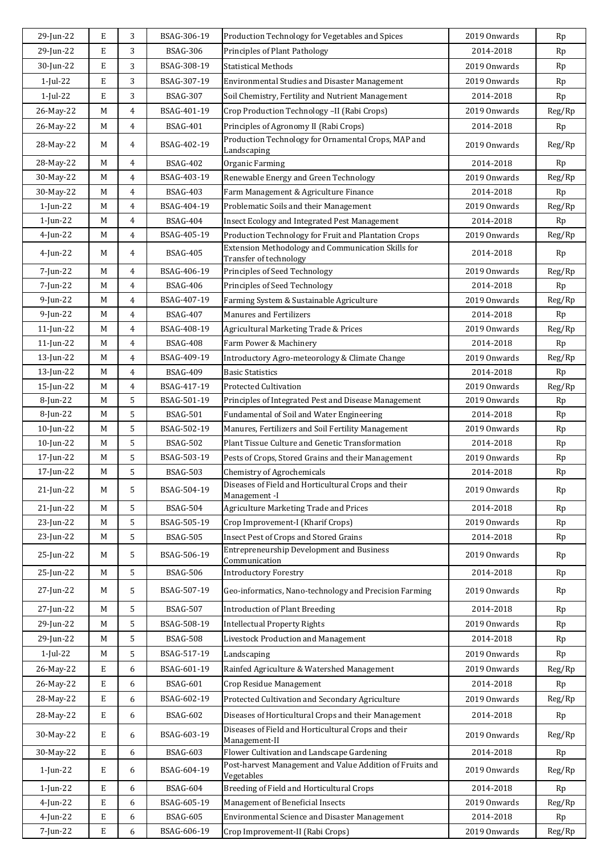| 29-Jun-22    | E | 3              | BSAG-306-19     | Production Technology for Vegetables and Spices                              | 2019 Onwards | Rp     |
|--------------|---|----------------|-----------------|------------------------------------------------------------------------------|--------------|--------|
| 29-Jun-22    | E | 3              | <b>BSAG-306</b> | Principles of Plant Pathology                                                | 2014-2018    | Rp     |
| 30-Jun-22    | E | 3              | BSAG-308-19     | Statistical Methods                                                          | 2019 Onwards | Rp     |
| $1$ -Jul-22  | E | 3              | BSAG-307-19     | <b>Environmental Studies and Disaster Management</b>                         | 2019 Onwards | Rp     |
| $1$ -Jul-22  | E | 3              | <b>BSAG-307</b> | Soil Chemistry, Fertility and Nutrient Management                            | 2014-2018    | Rp     |
| 26-May-22    | M | 4              | BSAG-401-19     | Crop Production Technology -II (Rabi Crops)                                  | 2019 Onwards | Reg/Rp |
| 26-May-22    | M | 4              | <b>BSAG-401</b> | Principles of Agronomy II (Rabi Crops)                                       | 2014-2018    | Rp     |
|              |   |                |                 | Production Technology for Ornamental Crops, MAP and                          |              |        |
| 28-May-22    | M | 4              | BSAG-402-19     | Landscaping                                                                  | 2019 Onwards | Reg/Rp |
| 28-May-22    | M | 4              | BSAG-402        | Organic Farming                                                              | 2014-2018    | Rp     |
| 30-May-22    | M | $\overline{4}$ | BSAG-403-19     | Renewable Energy and Green Technology                                        | 2019 Onwards | Reg/Rp |
| 30-May-22    | M | $\overline{4}$ | <b>BSAG-403</b> | Farm Management & Agriculture Finance                                        | 2014-2018    | Rp     |
| 1-Jun-22     | M | 4              | BSAG-404-19     | Problematic Soils and their Management                                       | 2019 Onwards | Reg/Rp |
| $1$ -Jun-22  | M | 4              | BSAG-404        | Insect Ecology and Integrated Pest Management                                | 2014-2018    | Rp     |
| $4$ -Jun-22  | M | 4              | BSAG-405-19     | Production Technology for Fruit and Plantation Crops                         | 2019 Onwards | Reg/Rp |
| 4-Jun-22     | M | 4              | <b>BSAG-405</b> | Extension Methodology and Communication Skills for<br>Transfer of technology | 2014-2018    | Rp     |
| $7$ -Jun-22  | M | 4              | BSAG-406-19     | Principles of Seed Technology                                                | 2019 Onwards | Reg/Rp |
| 7-Jun-22     | M | 4              | <b>BSAG-406</b> | Principles of Seed Technology                                                | 2014-2018    | Rp     |
| $9$ -Jun-22  | M | 4              | BSAG-407-19     | Farming System & Sustainable Agriculture                                     | 2019 Onwards | Reg/Rp |
| $9$ -Jun-22  | M | 4              | <b>BSAG-407</b> | <b>Manures and Fertilizers</b>                                               | 2014-2018    | Rp     |
| $11$ -Jun-22 | M | 4              | BSAG-408-19     | Agricultural Marketing Trade & Prices                                        | 2019 Onwards | Reg/Rp |
| 11-Jun-22    | M | 4              | <b>BSAG-408</b> | Farm Power & Machinery                                                       | 2014-2018    | Rp     |
| $13$ -Jun-22 | M | 4              | BSAG-409-19     | Introductory Agro-meteorology & Climate Change                               | 2019 Onwards | Reg/Rp |
| $13$ -Jun-22 | M | $\overline{4}$ | <b>BSAG-409</b> | <b>Basic Statistics</b>                                                      | 2014-2018    | Rp     |
| 15-Jun-22    | M | 4              | BSAG-417-19     | Protected Cultivation                                                        | 2019 Onwards | Reg/Rp |
| 8-Jun-22     | M | 5              | BSAG-501-19     | Principles of Integrated Pest and Disease Management                         | 2019 Onwards | Rp     |
| 8-Jun-22     | M | 5              | <b>BSAG-501</b> | Fundamental of Soil and Water Engineering                                    | 2014-2018    | Rp     |
| $10$ -Jun-22 | M | 5              | BSAG-502-19     | Manures, Fertilizers and Soil Fertility Management                           | 2019 Onwards | Rp     |
| $10$ -Jun-22 | M | 5              | <b>BSAG-502</b> | Plant Tissue Culture and Genetic Transformation                              | 2014-2018    | Rp     |
| 17-Jun-22    | M | 5              | BSAG-503-19     | Pests of Crops, Stored Grains and their Management                           | 2019 Onwards | Rp     |
| 17-Jun-22    | M | 5              | <b>BSAG-503</b> | Chemistry of Agrochemicals                                                   | 2014-2018    | Rp     |
| 21-Jun-22    | M | 5              | BSAG-504-19     | Diseases of Field and Horticultural Crops and their                          | 2019 Onwards | Rp     |
|              |   |                |                 | Management -I                                                                |              |        |
| 21-Jun-22    | M | 5              | <b>BSAG-504</b> | Agriculture Marketing Trade and Prices                                       | 2014-2018    | Rp     |
| 23-Jun-22    | M | 5              | BSAG-505-19     | Crop Improvement-I (Kharif Crops)                                            | 2019 Onwards | Rp     |
| 23-Jun-22    | M | 5              | <b>BSAG-505</b> | <b>Insect Pest of Crops and Stored Grains</b>                                | 2014-2018    | Rp     |
| 25-Jun-22    | M | 5              | BSAG-506-19     | <b>Entrepreneurship Development and Business</b><br>Communication            | 2019 Onwards | Rp     |
| 25-Jun-22    | M | 5              | <b>BSAG-506</b> | <b>Introductory Forestry</b>                                                 | 2014-2018    | Rp     |
| 27-Jun-22    | M | 5              | BSAG-507-19     | Geo-informatics, Nano-technology and Precision Farming                       | 2019 Onwards | Rp     |
| 27-Jun-22    | M | 5              | <b>BSAG-507</b> | <b>Introduction of Plant Breeding</b>                                        | 2014-2018    | Rp     |
|              |   |                |                 | <b>Intellectual Property Rights</b>                                          |              |        |
| 29-Jun-22    | M | 5              | BSAG-508-19     |                                                                              | 2019 Onwards | Rp     |
| 29-Jun-22    | М | 5              | <b>BSAG-508</b> | Livestock Production and Management                                          | 2014-2018    | Rp     |
| $1$ -Jul-22  | M | 5              | BSAG-517-19     | Landscaping                                                                  | 2019 Onwards | Rp     |
| 26-May-22    | Е | 6              | BSAG-601-19     | Rainfed Agriculture & Watershed Management                                   | 2019 Onwards | Reg/Rp |
| 26-May-22    | E | 6              | <b>BSAG-601</b> | Crop Residue Management                                                      | 2014-2018    | Rp     |
| 28-May-22    | E | 6              | BSAG-602-19     | Protected Cultivation and Secondary Agriculture                              | 2019 Onwards | Reg/Rp |
| 28-May-22    | Е | 6              | <b>BSAG-602</b> | Diseases of Horticultural Crops and their Management                         | 2014-2018    | Rp     |
| 30-May-22    | Е | 6              | BSAG-603-19     | Diseases of Field and Horticultural Crops and their<br>Management-II         | 2019 Onwards | Reg/Rp |
| 30-May-22    | Е | 6              | <b>BSAG-603</b> | Flower Cultivation and Landscape Gardening                                   | 2014-2018    | Rp     |
| $1$ -Jun-22  | E | 6              | BSAG-604-19     | Post-harvest Management and Value Addition of Fruits and<br>Vegetables       | 2019 Onwards | Reg/Rp |
| 1-Jun-22     | E | 6              | <b>BSAG-604</b> | Breeding of Field and Horticultural Crops                                    | 2014-2018    | Rp     |
| 4-Jun-22     | Е | 6              | BSAG-605-19     | Management of Beneficial Insects                                             | 2019 Onwards | Reg/Rp |
| $4$ -Jun-22  | E | 6              | <b>BSAG-605</b> | Environmental Science and Disaster Management                                | 2014-2018    | Rp     |
| 7-Jun-22     | E | 6              | BSAG-606-19     | Crop Improvement-II (Rabi Crops)                                             | 2019 Onwards | Reg/Rp |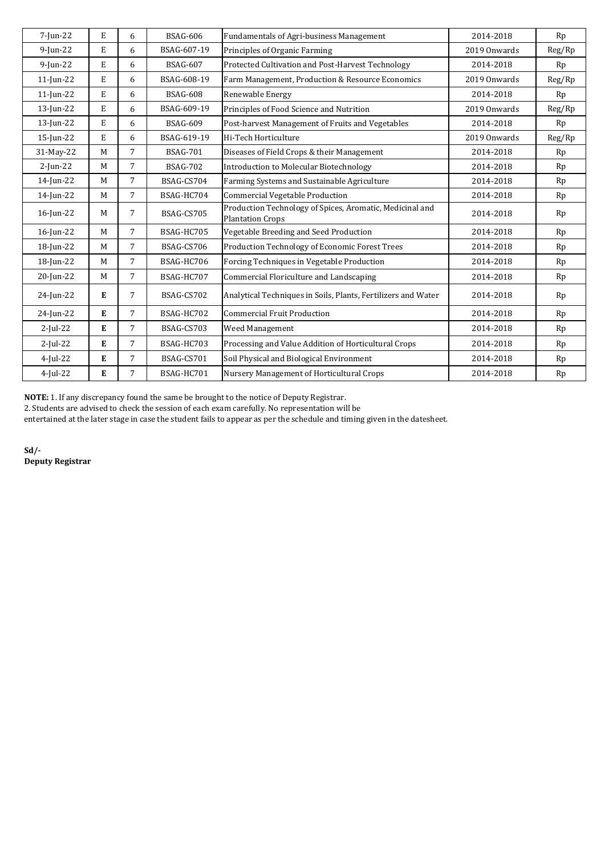| 7-Jun-22     | E | 6              | <b>BSAG-606</b> | Fundamentals of Agri-business Management                                            | 2014-2018    | Rp     |
|--------------|---|----------------|-----------------|-------------------------------------------------------------------------------------|--------------|--------|
| $9$ -Jun-22  | E | 6              | BSAG-607-19     | Principles of Organic Farming                                                       | 2019 Onwards | Reg/Rp |
| $9$ -Jun-22  | E | 6              | <b>BSAG-607</b> | Protected Cultivation and Post-Harvest Technology                                   | 2014-2018    | Rp     |
| $11$ -Jun-22 | E | 6              | BSAG-608-19     | Farm Management, Production & Resource Economics                                    | 2019 Onwards | Reg/Rp |
| $11$ -Jun-22 | E | 6              | <b>BSAG-608</b> | Renewable Energy                                                                    | 2014-2018    | Rp     |
| $13$ -Jun-22 | E | 6              | BSAG-609-19     | Principles of Food Science and Nutrition                                            | 2019 Onwards | Reg/Rp |
| 13-Jun-22    | E | 6              | <b>BSAG-609</b> | Post-harvest Management of Fruits and Vegetables                                    | 2014-2018    | Rp     |
| $15$ -Jun-22 | E | 6              | BSAG-619-19     | Hi-Tech Horticulture                                                                | 2019 Onwards | Reg/Rp |
| 31-May-22    | M | 7              | <b>BSAG-701</b> | Diseases of Field Crops & their Management                                          | 2014-2018    | Rp     |
| $2$ -Jun-22  | M | 7              | <b>BSAG-702</b> | <b>Introduction to Molecular Biotechnology</b>                                      | 2014-2018    | Rp     |
| 14-Jun-22    | M | 7              | BSAG-CS704      | Farming Systems and Sustainable Agriculture                                         | 2014-2018    | Rp     |
| 14-Jun-22    | M | $\overline{7}$ | BSAG-HC704      | <b>Commercial Vegetable Production</b>                                              | 2014-2018    | Rp     |
| 16-Jun-22    | M | 7              | BSAG-CS705      | Production Technology of Spices, Aromatic, Medicinal and<br><b>Plantation Crops</b> | 2014-2018    | Rp     |
| $16$ -Jun-22 | M | 7              | BSAG-HC705      | Vegetable Breeding and Seed Production                                              | 2014-2018    | Rp     |
| 18-Jun-22    | M | 7              | BSAG-CS706      | Production Technology of Economic Forest Trees                                      | 2014-2018    | Rp     |
| 18-Jun-22    | M | 7              | BSAG-HC706      | Forcing Techniques in Vegetable Production                                          | 2014-2018    | Rp     |
| 20-Jun-22    | M | 7              | BSAG-HC707      | Commercial Floriculture and Landscaping                                             | 2014-2018    | Rp     |
| 24-Jun-22    | E | 7              | BSAG-CS702      | Analytical Techniques in Soils, Plants, Fertilizers and Water                       | 2014-2018    | Rp     |
| 24-Jun-22    | E | 7              | BSAG-HC702      | <b>Commercial Fruit Production</b>                                                  | 2014-2018    | Rp     |
| $2$ -Jul-22  | E | 7              | BSAG-CS703      | Weed Management                                                                     | 2014-2018    | Rp     |
| $2$ -Jul-22  | E | 7              | BSAG-HC703      | Processing and Value Addition of Horticultural Crops                                | 2014-2018    | Rp     |
| $4$ -Jul-22  | E | $\overline{7}$ | BSAG-CS701      | Soil Physical and Biological Environment                                            | 2014-2018    | Rp     |
| $4$ -Jul-22  | E | 7              | BSAG-HC701      | Nursery Management of Horticultural Crops                                           | 2014-2018    | Rp     |

**NOTE:** 1. If any discrepancy found the same be brought to the notice of Deputy Registrar.

2. Students are advised to check the session of each exam carefully. No representation will be

entertained at the later stage in case the student fails to appear as per the schedule and timing given in the datesheet.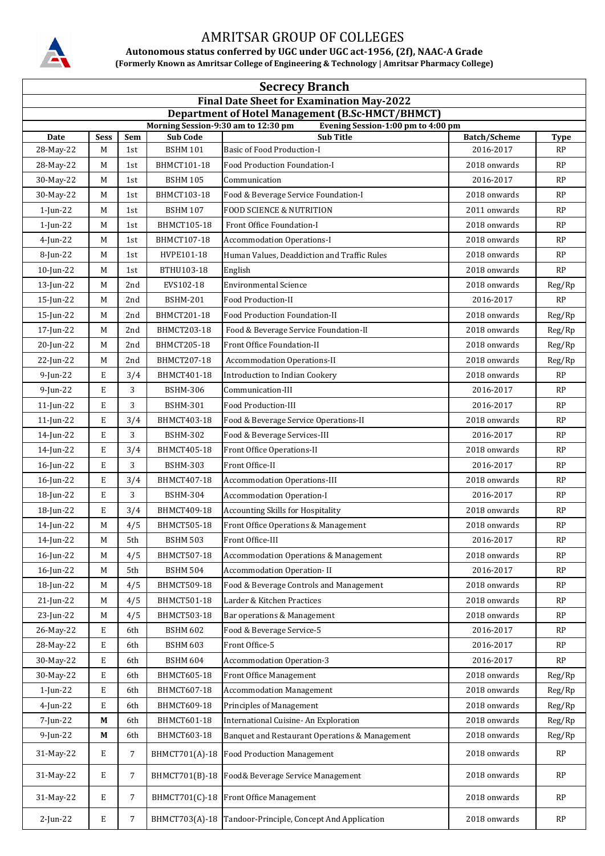

**Autonomous status conferred by UGC under UGC act-1956, (2f), NAAC-A Grade (Formerly Known as Amritsar College of Engineering & Technology | Amritsar Pharmacy College)**

| <b>Secrecy Branch</b> |             |     |                                     |                                                                                        |                     |                  |  |  |
|-----------------------|-------------|-----|-------------------------------------|----------------------------------------------------------------------------------------|---------------------|------------------|--|--|
|                       |             |     |                                     | <b>Final Date Sheet for Examination May-2022</b>                                       |                     |                  |  |  |
|                       |             |     | Morning Session-9:30 am to 12:30 pm | Department of Hotel Management (B.Sc-HMCT/BHMCT)<br>Evening Session-1:00 pm to 4:00 pm |                     |                  |  |  |
| Date                  | <b>Sess</b> | Sem | <b>Sub Code</b>                     | <b>Sub Title</b>                                                                       | <b>Batch/Scheme</b> | <b>Type</b>      |  |  |
| 28-May-22             | M           | 1st | <b>BSHM 101</b>                     | <b>Basic of Food Production-I</b>                                                      | 2016-2017           | RP               |  |  |
| 28-May-22             | M           | 1st | BHMCT101-18                         | Food Production Foundation-I                                                           | 2018 onwards        | RP               |  |  |
| 30-May-22             | М           | 1st | <b>BSHM 105</b>                     | Communication                                                                          | 2016-2017           | RP               |  |  |
| 30-May-22             | M           | 1st | BHMCT103-18                         | Food & Beverage Service Foundation-I                                                   | 2018 onwards        | RP               |  |  |
| $1$ -Jun-22           | М           | 1st | <b>BSHM 107</b>                     | <b>FOOD SCIENCE &amp; NUTRITION</b>                                                    | 2011 onwards        | RP               |  |  |
| $1$ -Jun-22           | M           | 1st | BHMCT105-18                         | Front Office Foundation-I                                                              | 2018 onwards        | RP               |  |  |
| $4$ -Jun-22           | M           | 1st | BHMCT107-18                         | <b>Accommodation Operations-I</b>                                                      | 2018 onwards        | RP               |  |  |
| 8-Jun-22              | M           | 1st | HVPE101-18                          | Human Values, Deaddiction and Traffic Rules                                            | 2018 onwards        | RP               |  |  |
| $10$ -Jun-22          | M           | 1st | BTHU103-18                          | English                                                                                | 2018 onwards        | RP               |  |  |
| 13-Jun-22             | M           | 2nd | EVS102-18                           | <b>Environmental Science</b>                                                           | 2018 onwards        | Reg/Rp           |  |  |
| 15-Jun-22             | М           | 2nd | <b>BSHM-201</b>                     | Food Production-II                                                                     | 2016-2017           | RP               |  |  |
| 15-Jun-22             | М           | 2nd | BHMCT201-18                         | Food Production Foundation-II                                                          | 2018 onwards        | Reg/Rp           |  |  |
| 17-Jun-22             | M           | 2nd | <b>BHMCT203-18</b>                  | Food & Beverage Service Foundation-II                                                  | 2018 onwards        | Reg/Rp           |  |  |
| 20-Jun-22             | М           | 2nd | <b>BHMCT205-18</b>                  | Front Office Foundation-II                                                             | 2018 onwards        | Reg/Rp           |  |  |
| 22-Jun-22             | М           | 2nd | BHMCT207-18                         | <b>Accommodation Operations-II</b>                                                     | 2018 onwards        | Reg/Rp           |  |  |
| $9$ -Jun-22           | E           | 3/4 | BHMCT401-18                         | <b>Introduction to Indian Cookery</b>                                                  | 2018 onwards        | RP               |  |  |
| $9$ -Jun-22           | E           | 3   | <b>BSHM-306</b>                     | Communication-III                                                                      | 2016-2017           | RP               |  |  |
| $11$ -Jun-22          | E           | 3   | <b>BSHM-301</b>                     | Food Production-III                                                                    | 2016-2017           | RP               |  |  |
| $11$ -Jun-22          | E           | 3/4 | BHMCT403-18                         | Food & Beverage Service Operations-II                                                  | 2018 onwards        | RP               |  |  |
| 14-Jun-22             | E           | 3   | BSHM-302                            | Food & Beverage Services-III                                                           | 2016-2017           | RP               |  |  |
| 14-Jun-22             | E           | 3/4 | BHMCT405-18                         | Front Office Operations-II                                                             | 2018 onwards        | RP               |  |  |
| 16-Jun-22             | E           | 3   | <b>BSHM-303</b>                     | Front Office-II                                                                        | 2016-2017           | RP               |  |  |
| 16-Jun-22             | E           | 3/4 | BHMCT407-18                         | <b>Accommodation Operations-III</b>                                                    | 2018 onwards        | RP               |  |  |
| 18-Jun-22             | E           | 3   | <b>BSHM-304</b>                     | <b>Accommodation Operation-I</b>                                                       | 2016-2017           | RP               |  |  |
| 18-Jun-22             | E           | 3/4 | BHMCT409-18                         | <b>Accounting Skills for Hospitality</b>                                               | 2018 onwards        | RP               |  |  |
| 14-Jun-22             | M           | 4/5 | <b>BHMCT505-18</b>                  | Front Office Operations & Management                                                   | 2018 onwards        | RP               |  |  |
| 14-Jun-22             | M           | 5th | <b>BSHM 503</b>                     | Front Office-III                                                                       | 2016-2017           | RP               |  |  |
| 16-Jun-22             | М           | 4/5 | BHMCT507-18                         | <b>Accommodation Operations &amp; Management</b>                                       | 2018 onwards        | RP               |  |  |
| 16-Jun-22             | M           | 5th | <b>BSHM 504</b>                     | <b>Accommodation Operation-II</b>                                                      | 2016-2017           | RP               |  |  |
| 18-Jun-22             | М           | 4/5 | BHMCT509-18                         | Food & Beverage Controls and Management                                                | 2018 onwards        | RP               |  |  |
| 21-Jun-22             | M           | 4/5 | BHMCT501-18                         | Larder & Kitchen Practices                                                             | 2018 onwards        | RP               |  |  |
| 23-Jun-22             | M           | 4/5 | BHMCT503-18                         | Bar operations & Management                                                            | 2018 onwards        | RP               |  |  |
| 26-May-22             | Е           | 6th | <b>BSHM 602</b>                     | Food & Beverage Service-5                                                              | 2016-2017           | <b>RP</b>        |  |  |
| 28-May-22             | E           | 6th | <b>BSHM 603</b>                     | Front Office-5                                                                         | 2016-2017           | RP               |  |  |
| 30-May-22             | E           | 6th | <b>BSHM 604</b>                     | <b>Accommodation Operation-3</b>                                                       | 2016-2017           | <b>RP</b>        |  |  |
| 30-May-22             | E           | 6th | BHMCT605-18                         | Front Office Management                                                                | 2018 onwards        | Reg/Rp           |  |  |
| $1$ -Jun-22           | E           | 6th | BHMCT607-18                         | <b>Accommodation Management</b>                                                        | 2018 onwards        |                  |  |  |
| $4$ -Jun-22           | E           | 6th | BHMCT609-18                         | Principles of Management                                                               | 2018 onwards        | Reg/Rp<br>Reg/Rp |  |  |
| 7-Jun-22              | М           | 6th | BHMCT601-18                         | International Cuisine- An Exploration                                                  | 2018 onwards        | Reg/Rp           |  |  |
| 9-Jun-22              | M           | 6th | BHMCT603-18                         | Banquet and Restaurant Operations & Management                                         | 2018 onwards        | Reg/Rp           |  |  |
| 31-May-22             | E           | 7   | BHMCT701(A)-18                      | <b>Food Production Management</b>                                                      | 2018 onwards        | RP               |  |  |
| 31-May-22             | E           | 7   | BHMCT701(B)-18                      | Food& Beverage Service Management                                                      | 2018 onwards        | RP               |  |  |
| 31-May-22             | E           | 7   | BHMCT701(C)-18                      | Front Office Management                                                                | 2018 onwards        | RP               |  |  |
| 2-Jun-22              | E           | 7   | BHMCT703(A)-18                      | Tandoor-Principle, Concept And Application                                             | 2018 onwards        | RP               |  |  |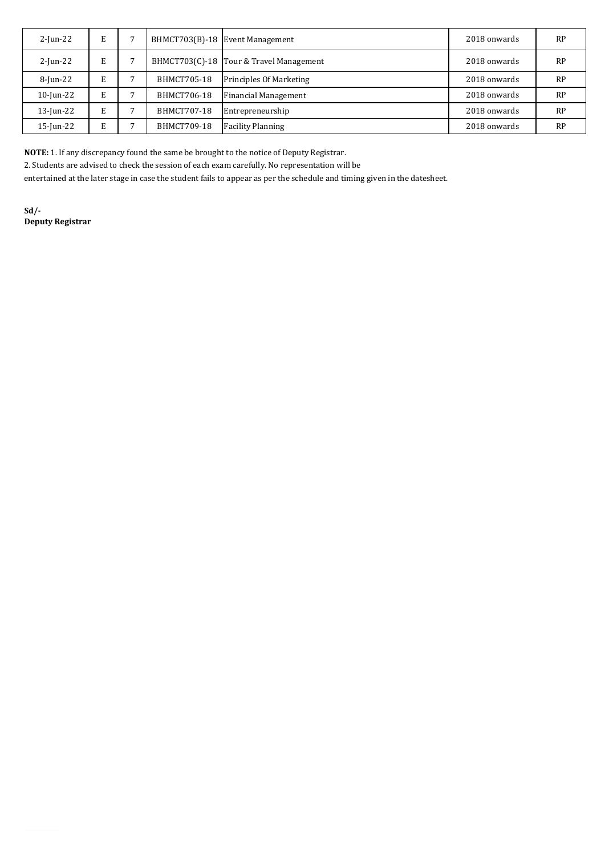| $2$ -Jun-22 | E. |                    | BHMCT703(B)-18 Event Management         | 2018 onwards | RP        |
|-------------|----|--------------------|-----------------------------------------|--------------|-----------|
| $2$ -Jun-22 | E  |                    | BHMCT703(C)-18 Tour & Travel Management | 2018 onwards | <b>RP</b> |
| 8-Jun-22    | E  | BHMCT705-18        | <b>Principles Of Marketing</b>          | 2018 onwards | RP        |
| 10-Jun-22   | E  | BHMCT706-18        | <b>Financial Management</b>             | 2018 onwards | RP        |
| 13-Jun-22   | E  | <b>BHMCT707-18</b> | Entrepreneurship                        | 2018 onwards | RP        |
| 15-Jun-22   | E  | BHMCT709-18        | <b>Facility Planning</b>                | 2018 onwards | RP        |

**NOTE:** 1. If any discrepancy found the same be brought to the notice of Deputy Registrar.

2. Students are advised to check the session of each exam carefully. No representation will be

entertained at the later stage in case the student fails to appear as per the schedule and timing given in the datesheet.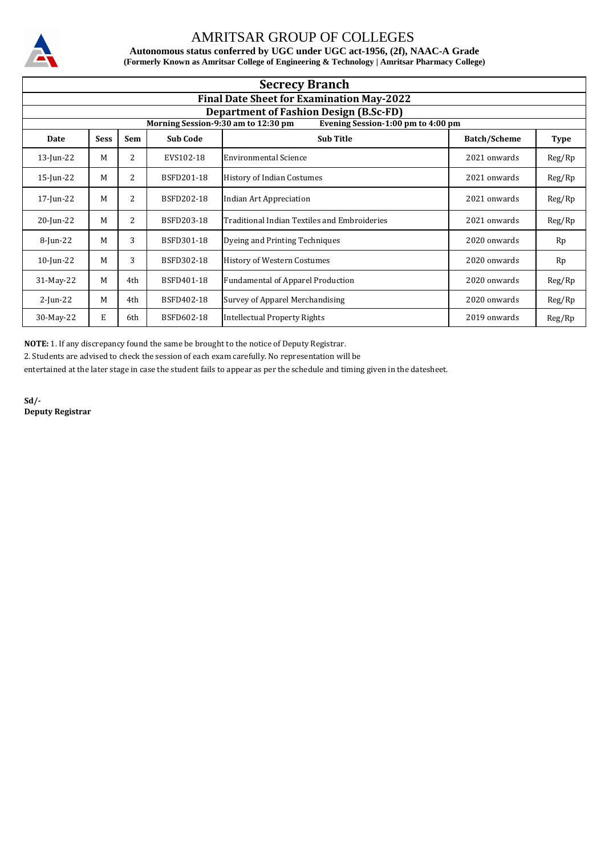

**Autonomous status conferred by UGC under UGC act-1956, (2f), NAAC-A Grade (Formerly Known as Amritsar College of Engineering & Technology | Amritsar Pharmacy College)**

| <b>Secrecy Branch</b> |                                                  |     |                   |                                                                           |                     |             |  |  |  |  |
|-----------------------|--------------------------------------------------|-----|-------------------|---------------------------------------------------------------------------|---------------------|-------------|--|--|--|--|
|                       | <b>Final Date Sheet for Examination May-2022</b> |     |                   |                                                                           |                     |             |  |  |  |  |
|                       | <b>Department of Fashion Design (B.Sc-FD)</b>    |     |                   |                                                                           |                     |             |  |  |  |  |
|                       |                                                  |     |                   | Morning Session-9:30 am to 12:30 pm<br>Evening Session-1:00 pm to 4:00 pm |                     |             |  |  |  |  |
| Date                  | <b>Sess</b>                                      | Sem | <b>Sub Code</b>   | <b>Sub Title</b>                                                          | <b>Batch/Scheme</b> | <b>Type</b> |  |  |  |  |
| 13-Jun-22             | M                                                | 2   | EVS102-18         | Environmental Science                                                     | 2021 onwards        | Reg/Rp      |  |  |  |  |
| 15-Jun-22             | M                                                | 2   | BSFD201-18        | <b>History of Indian Costumes</b>                                         | 2021 onwards        | Reg/Rp      |  |  |  |  |
| 17-Jun-22             | M                                                | 2   | <b>BSFD202-18</b> | Indian Art Appreciation                                                   | 2021 onwards        | Reg/Rp      |  |  |  |  |
| 20-Jun-22             | M                                                | 2   | BSFD203-18        | Traditional Indian Textiles and Embroideries                              | 2021 onwards        | Reg/Rp      |  |  |  |  |
| 8-Jun-22              | M                                                | 3   | BSFD301-18        | Dyeing and Printing Techniques                                            | 2020 onwards        | Rp          |  |  |  |  |
| $10$ -Jun-22          | M                                                | 3   | BSFD302-18        | <b>History of Western Costumes</b>                                        | 2020 onwards        | Rp          |  |  |  |  |
| 31-May-22             | M                                                | 4th | BSFD401-18        | <b>Fundamental of Apparel Production</b>                                  | 2020 onwards        | Reg/Rp      |  |  |  |  |
| $2$ -Jun-22           | M                                                | 4th | BSFD402-18        | Survey of Apparel Merchandising                                           | 2020 onwards        | Reg/Rp      |  |  |  |  |
| 30-May-22             | E                                                | 6th | BSFD602-18        | <b>Intellectual Property Rights</b>                                       | 2019 onwards        | Reg/Rp      |  |  |  |  |

**NOTE:** 1. If any discrepancy found the same be brought to the notice of Deputy Registrar.

2. Students are advised to check the session of each exam carefully. No representation will be

entertained at the later stage in case the student fails to appear as per the schedule and timing given in the datesheet.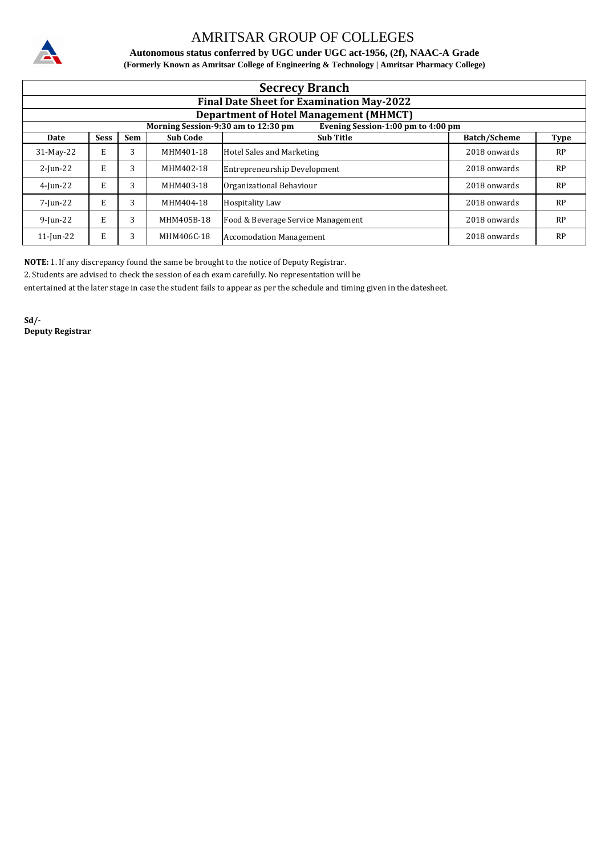

**(Formerly Known as Amritsar College of Engineering & Technology | Amritsar Pharmacy College) Autonomous status conferred by UGC under UGC act-1956, (2f), NAAC-A Grade**

|              | <b>Secrecy Branch</b>                            |     |                 |                                                                           |                     |             |  |  |  |  |
|--------------|--------------------------------------------------|-----|-----------------|---------------------------------------------------------------------------|---------------------|-------------|--|--|--|--|
|              | <b>Final Date Sheet for Examination May-2022</b> |     |                 |                                                                           |                     |             |  |  |  |  |
|              | <b>Department of Hotel Management (MHMCT)</b>    |     |                 |                                                                           |                     |             |  |  |  |  |
|              |                                                  |     |                 | Morning Session-9:30 am to 12:30 pm<br>Evening Session-1:00 pm to 4:00 pm |                     |             |  |  |  |  |
| Date         | <b>Sess</b>                                      | Sem | <b>Sub Code</b> | <b>Sub Title</b>                                                          | <b>Batch/Scheme</b> | <b>Type</b> |  |  |  |  |
| 31-May-22    | E                                                | 3   | MHM401-18       | Hotel Sales and Marketing                                                 | 2018 onwards        | RP          |  |  |  |  |
| $2$ -Jun-22  | E                                                | 3   | MHM402-18       | Entrepreneurship Development                                              | 2018 onwards        | RP          |  |  |  |  |
| $4$ -Jun-22  | E                                                | 3   | MHM403-18       | Organizational Behaviour                                                  | 2018 onwards        | RP          |  |  |  |  |
| 7-Jun-22     | Е                                                | 3   | MHM404-18       | <b>Hospitality Law</b>                                                    | 2018 onwards        | <b>RP</b>   |  |  |  |  |
| $9$ -Jun-22  | Е                                                | 3   | MHM405B-18      | Food & Beverage Service Management                                        | 2018 onwards        | RP          |  |  |  |  |
| $11$ -Jun-22 | E                                                | 3   | MHM406C-18      | <b>Accomodation Management</b>                                            | 2018 onwards        | <b>RP</b>   |  |  |  |  |

**NOTE:** 1. If any discrepancy found the same be brought to the notice of Deputy Registrar.

2. Students are advised to check the session of each exam carefully. No representation will be

entertained at the later stage in case the student fails to appear as per the schedule and timing given in the datesheet.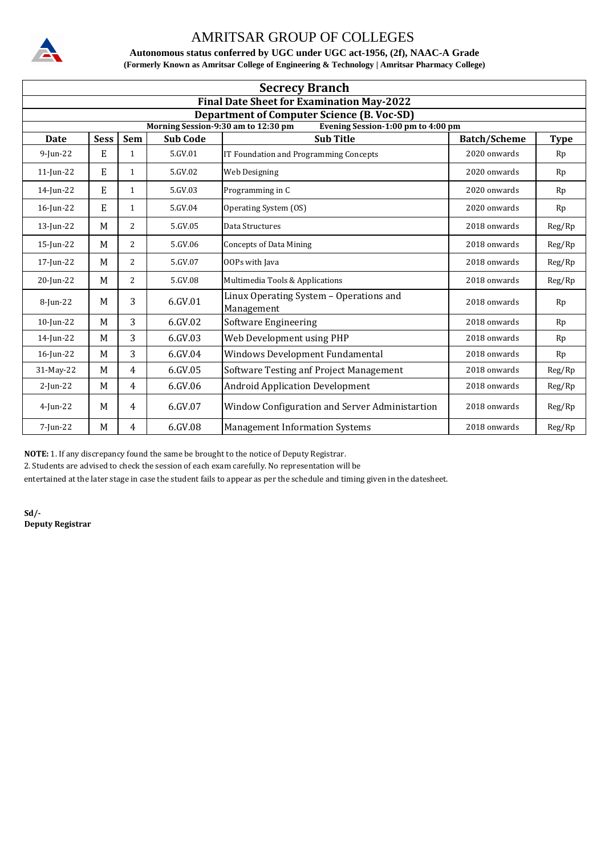

**Autonomous status conferred by UGC under UGC act-1956, (2f), NAAC-A Grade (Formerly Known as Amritsar College of Engineering & Technology | Amritsar Pharmacy College)**

| <b>Secrecy Branch</b>                                                                    |                                                  |                |                 |                                                        |                     |             |  |  |  |
|------------------------------------------------------------------------------------------|--------------------------------------------------|----------------|-----------------|--------------------------------------------------------|---------------------|-------------|--|--|--|
|                                                                                          | <b>Final Date Sheet for Examination May-2022</b> |                |                 |                                                        |                     |             |  |  |  |
| <b>Department of Computer Science (B. Voc-SD)</b><br>Morning Session-9:30 am to 12:30 pm |                                                  |                |                 |                                                        |                     |             |  |  |  |
| <b>Date</b>                                                                              | <b>Sess</b>                                      | <b>Sem</b>     | <b>Sub Code</b> | Evening Session-1:00 pm to 4:00 pm<br><b>Sub Title</b> | <b>Batch/Scheme</b> | <b>Type</b> |  |  |  |
| 9-Jun-22                                                                                 | E                                                | $\mathbf{1}$   | 5.GV.01         | IT Foundation and Programming Concepts                 | 2020 onwards        | Rp          |  |  |  |
| $11$ -Jun-22                                                                             | E                                                | $\mathbf{1}$   | 5.GV.02         | Web Designing                                          | 2020 onwards        | Rp          |  |  |  |
| 14-Jun-22                                                                                | E                                                | $\mathbf{1}$   | 5.GV.03         | Programming in C                                       | 2020 onwards        | Rp          |  |  |  |
| 16-Jun-22                                                                                | E                                                | $\mathbf{1}$   | 5.GV.04         | Operating System (OS)                                  | 2020 onwards        | Rp          |  |  |  |
| $13$ -Jun-22                                                                             | M                                                | 2              | 5.GV.05         | Data Structures                                        | 2018 onwards        | Reg/Rp      |  |  |  |
| $15$ -Jun-22                                                                             | M                                                | 2              | 5.GV.06         | <b>Concepts of Data Mining</b>                         | 2018 onwards        | Reg/Rp      |  |  |  |
| 17-Jun-22                                                                                | M                                                | 2              | 5.GV.07         | <b>OOPs with Java</b>                                  | 2018 onwards        | Reg/Rp      |  |  |  |
| 20-Jun-22                                                                                | M                                                | 2              | 5.GV.08         | Multimedia Tools & Applications                        | 2018 onwards        | Reg/Rp      |  |  |  |
| 8-Jun-22                                                                                 | M                                                | 3              | $6.$ $GV.01$    | Linux Operating System - Operations and<br>Management  | 2018 onwards        | Rp          |  |  |  |
| 10-Jun-22                                                                                | M                                                | $\overline{3}$ | 6.GV.02         | Software Engineering                                   | 2018 onwards        | Rp          |  |  |  |
| 14-Jun-22                                                                                | M                                                | 3              | 6.GV.03         | Web Development using PHP                              | 2018 onwards        | Rp          |  |  |  |
| $16$ -Jun-22                                                                             | M                                                | 3              | 6.GV.04         | Windows Development Fundamental                        | 2018 onwards        | Rp          |  |  |  |
| 31-May-22                                                                                | M                                                | $\overline{4}$ | 6.GV.05         | Software Testing anf Project Management                | 2018 onwards        | Reg/Rp      |  |  |  |
| $2$ -Jun-22                                                                              | M                                                | $\overline{4}$ | 6.GV.06         | <b>Android Application Development</b>                 | 2018 onwards        | Reg/Rp      |  |  |  |
| $4$ -Jun-22                                                                              | M                                                | $\overline{4}$ | 6.GV.07         | Window Configuration and Server Administartion         | 2018 onwards        | Reg/Rp      |  |  |  |
| 7-Jun-22                                                                                 | M                                                | $\overline{4}$ | 6.GV.08         | <b>Management Information Systems</b>                  | 2018 onwards        | Reg/Rp      |  |  |  |

**NOTE:** 1. If any discrepancy found the same be brought to the notice of Deputy Registrar.

2. Students are advised to check the session of each exam carefully. No representation will be

entertained at the later stage in case the student fails to appear as per the schedule and timing given in the datesheet.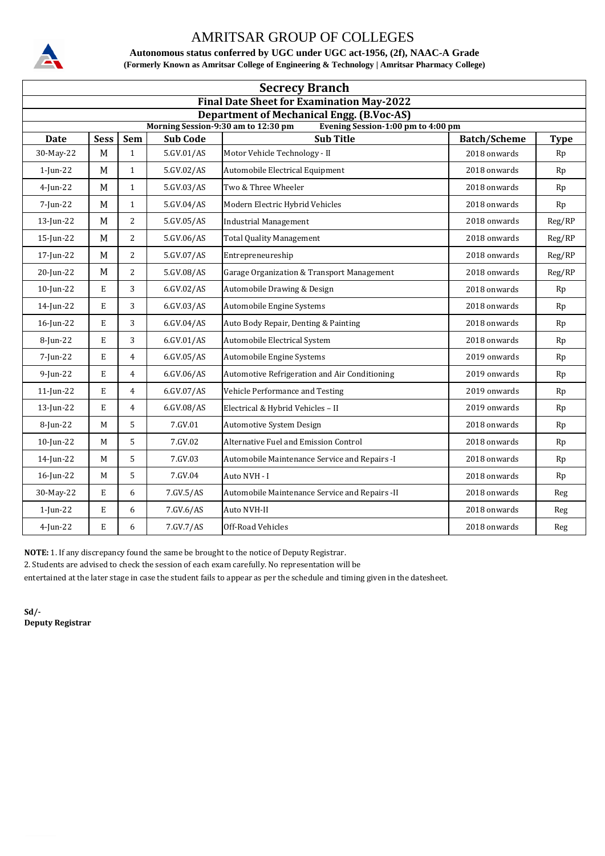

**Autonomous status conferred by UGC under UGC act-1956, (2f), NAAC-A Grade (Formerly Known as Amritsar College of Engineering & Technology | Amritsar Pharmacy College)**

| <b>Secrecy Branch</b>                                                                                                         |             |                |                 |                                                |                     |             |  |  |
|-------------------------------------------------------------------------------------------------------------------------------|-------------|----------------|-----------------|------------------------------------------------|---------------------|-------------|--|--|
| <b>Final Date Sheet for Examination May-2022</b>                                                                              |             |                |                 |                                                |                     |             |  |  |
| <b>Department of Mechanical Engg. (B.Voc-AS)</b><br>Morning Session-9:30 am to 12:30 pm<br>Evening Session-1:00 pm to 4:00 pm |             |                |                 |                                                |                     |             |  |  |
| <b>Date</b>                                                                                                                   | <b>Sess</b> | <b>Sem</b>     | <b>Sub Code</b> | <b>Sub Title</b>                               | <b>Batch/Scheme</b> | <b>Type</b> |  |  |
| 30-May-22                                                                                                                     | M           | $\mathbf{1}$   | 5.GV.01/AS      | Motor Vehicle Technology - II                  | 2018 onwards        | Rp          |  |  |
| $1$ -Jun-22                                                                                                                   | M           | $\mathbf{1}$   | 5.GV.02/AS      | Automobile Electrical Equipment                | 2018 onwards        | Rp          |  |  |
| $4$ -Jun-22                                                                                                                   | M           | $\mathbf{1}$   | 5.GV.03/AS      | Two & Three Wheeler                            | 2018 onwards        | Rp          |  |  |
| 7-Jun-22                                                                                                                      | M           | $\mathbf{1}$   | 5.GV.04/AS      | Modern Electric Hybrid Vehicles                | 2018 onwards        | Rp          |  |  |
| 13-Jun-22                                                                                                                     | M           | 2              | 5.GV.05/AS      | <b>Industrial Management</b>                   | 2018 onwards        | Reg/RP      |  |  |
| 15-Jun-22                                                                                                                     | M           | $\overline{2}$ | 5.GV.06/AS      | <b>Total Quality Management</b>                | 2018 onwards        | Reg/RP      |  |  |
| 17-Jun-22                                                                                                                     | M           | $\overline{2}$ | 5.GV.07/AS      | Entrepreneureship                              | 2018 onwards        | Reg/RP      |  |  |
| 20-Jun-22                                                                                                                     | M           | 2              | 5.GV.08/AS      | Garage Organization & Transport Management     | 2018 onwards        | Reg/RP      |  |  |
| $10$ -Jun-22                                                                                                                  | E           | 3              | 6.GV.02/AS      | Automobile Drawing & Design                    | 2018 onwards        | Rp          |  |  |
| 14-Jun-22                                                                                                                     | E           | 3              | 6.GV.03/AS      | Automobile Engine Systems                      | 2018 onwards        | Rp          |  |  |
| 16-Jun-22                                                                                                                     | E           | 3              | 6.GV.04/AS      | Auto Body Repair, Denting & Painting           | 2018 onwards        | Rp          |  |  |
| 8-Jun-22                                                                                                                      | E           | 3              | 6.GV.01/AS      | Automobile Electrical System                   | 2018 onwards        | Rp          |  |  |
| 7-Jun-22                                                                                                                      | E           | $\overline{4}$ | 6.GV.05/AS      | Automobile Engine Systems                      | 2019 onwards        | Rp          |  |  |
| $9$ -Jun-22                                                                                                                   | E           | $\overline{4}$ | 6.GV.06/AS      | Automotive Refrigeration and Air Conditioning  | 2019 onwards        | Rp          |  |  |
| $11$ -Jun-22                                                                                                                  | E           | $\overline{4}$ | 6.GV.07/AS      | Vehicle Performance and Testing                | 2019 onwards        | Rp          |  |  |
| 13-Jun-22                                                                                                                     | E           | $\overline{4}$ | 6.GV.08/AS      | Electrical & Hybrid Vehicles - II              | 2019 onwards        | Rp          |  |  |
| 8-Jun-22                                                                                                                      | M           | 5              | 7.GV.01         | Automotive System Design                       | 2018 onwards        | Rp          |  |  |
| $10$ -Jun-22                                                                                                                  | M           | 5              | 7.GV.02         | Alternative Fuel and Emission Control          | 2018 onwards        | Rp          |  |  |
| 14-Jun-22                                                                                                                     | M           | 5              | 7.GV.03         | Automobile Maintenance Service and Repairs -I  | 2018 onwards        | Rp          |  |  |
| 16-Jun-22                                                                                                                     | M           | 5              | 7.GV.04         | Auto NVH - I                                   | 2018 onwards        | Rp          |  |  |
| 30-May-22                                                                                                                     | E           | 6              | 7.GV.5/AS       | Automobile Maintenance Service and Repairs -II | 2018 onwards        | Reg         |  |  |
| $1$ -Jun-22                                                                                                                   | Е           | 6              | 7.GV.6/AS       | Auto NVH-II                                    | 2018 onwards        | Reg         |  |  |
| $4$ -Jun-22                                                                                                                   | E           | 6              | 7.GV.7/AS       | Off-Road Vehicles                              | 2018 onwards        | Reg         |  |  |

**NOTE:** 1. If any discrepancy found the same be brought to the notice of Deputy Registrar.

2. Students are advised to check the session of each exam carefully. No representation will be

entertained at the later stage in case the student fails to appear as per the schedule and timing given in the datesheet.